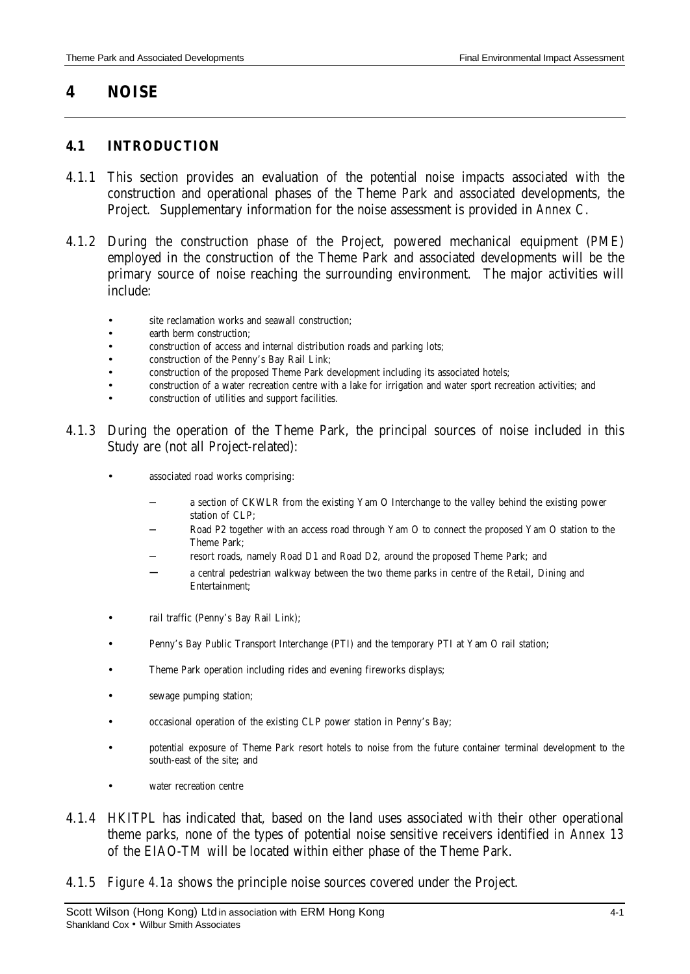# **4 NOISE**

#### **4.1 INTRODUCTION**

- 4.1.1 This section provides an evaluation of the potential noise impacts associated with the construction and operational phases of the Theme Park and associated developments, the Project. Supplementary information for the noise assessment is provided in *Annex C*.
- 4.1.2 During the construction phase of the Project, powered mechanical equipment (PME) employed in the construction of the Theme Park and associated developments will be the primary source of noise reaching the surrounding environment. The major activities will include:
	- site reclamation works and seawall construction;
	- earth berm construction;
	- construction of access and internal distribution roads and parking lots;
	- construction of the Penny's Bay Rail Link;
	- construction of the proposed Theme Park development including its associated hotels;
	- construction of a water recreation centre with a lake for irrigation and water sport recreation activities; and
	- construction of utilities and support facilities.
- 4.1.3 During the operation of the Theme Park, the principal sources of noise included in this Study are (not all Project-related):
	- associated road works comprising:
		- − a section of CKWLR from the existing Yam O Interchange to the valley behind the existing power station of CLP;
		- Road P2 together with an access road through Yam O to connect the proposed Yam O station to the Theme Park;
		- − resort roads, namely Road D1 and Road D2, around the proposed Theme Park; and
		- a central pedestrian walkway between the two theme parks in centre of the Retail, Dining and Entertainment;
	- rail traffic (Penny's Bay Rail Link);
	- Penny's Bay Public Transport Interchange (PTI) and the temporary PTI at Yam O rail station;
	- Theme Park operation including rides and evening fireworks displays;
	- sewage pumping station;
	- occasional operation of the existing CLP power station in Penny's Bay;
	- potential exposure of Theme Park resort hotels to noise from the future container terminal development to the south-east of the site; and
	- water recreation centre
- 4.1.4 HKITPL has indicated that, based on the land uses associated with their other operational theme parks, none of the types of potential noise sensitive receivers identified in *Annex 13* of the EIAO-TM will be located within either phase of the Theme Park.
- 4.1.5 *Figure 4.1a* shows the principle noise sources covered under the Project.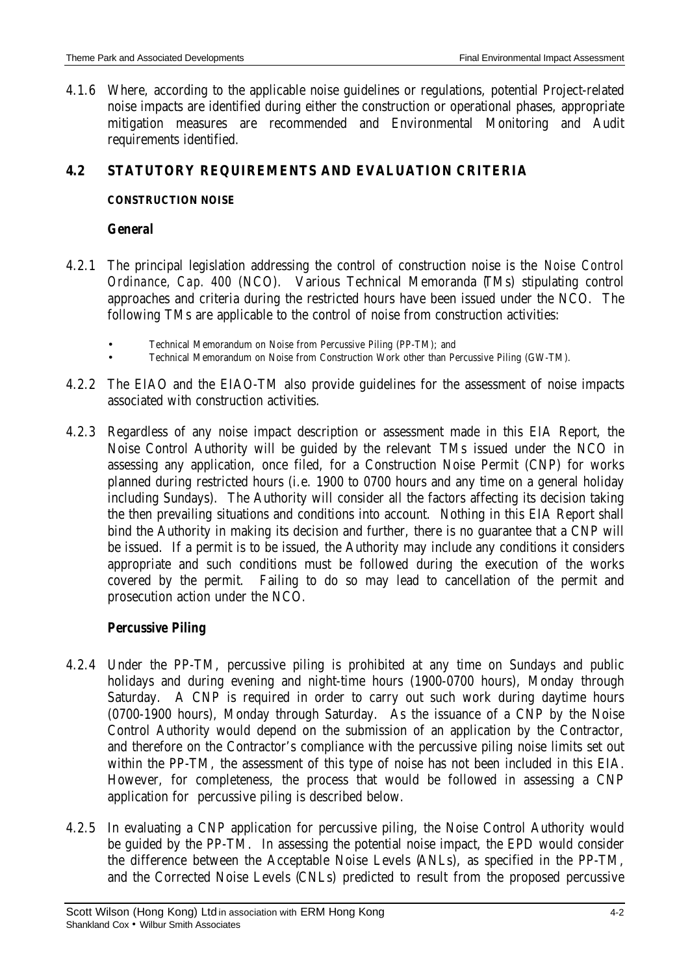4.1.6 Where, according to the applicable noise guidelines or regulations, potential Project-related noise impacts are identified during either the construction or operational phases, appropriate mitigation measures are recommended and Environmental Monitoring and Audit requirements identified.

# **4.2 STATUTORY REQUIREMENTS AND EVALUATION CRITERIA**

### **CONSTRUCTION NOISE**

#### *General*

- 4.2.1 The principal legislation addressing the control of construction noise is the *Noise Control Ordinance, Cap. 400* (NCO). Various Technical Memoranda (TMs) stipulating control approaches and criteria during the restricted hours have been issued under the NCO. The following TMs are applicable to the control of noise from construction activities:
	- Technical Memorandum on Noise from Percussive Piling (PP-TM); and
	- Technical Memorandum on Noise from Construction Work other than Percussive Piling (GW-TM).
- 4.2.2 The EIAO and the EIAO-TM also provide guidelines for the assessment of noise impacts associated with construction activities.
- 4.2.3 Regardless of any noise impact description or assessment made in this EIA Report, the Noise Control Authority will be guided by the relevant TMs issued under the NCO in assessing any application, once filed, for a Construction Noise Permit (CNP) for works planned during restricted hours (i.e. 1900 to 0700 hours and any time on a general holiday including Sundays). The Authority will consider all the factors affecting its decision taking the then prevailing situations and conditions into account. Nothing in this EIA Report shall bind the Authority in making its decision and further, there is no guarantee that a CNP will be issued. If a permit is to be issued, the Authority may include any conditions it considers appropriate and such conditions must be followed during the execution of the works covered by the permit. Failing to do so may lead to cancellation of the permit and prosecution action under the NCO.

# *Percussive Piling*

- 4.2.4 Under the PP-TM, percussive piling is prohibited at any time on Sundays and public holidays and during evening and night-time hours (1900-0700 hours), Monday through Saturday. A CNP is required in order to carry out such work during daytime hours (0700-1900 hours), Monday through Saturday. As the issuance of a CNP by the Noise Control Authority would depend on the submission of an application by the Contractor, and therefore on the Contractor's compliance with the percussive piling noise limits set out within the PP-TM, the assessment of this type of noise has not been included in this EIA. However, for completeness, the process that would be followed in assessing a CNP application for percussive piling is described below.
- 4.2.5 In evaluating a CNP application for percussive piling, the Noise Control Authority would be guided by the PP-TM. In assessing the potential noise impact, the EPD would consider the difference between the Acceptable Noise Levels (ANLs), as specified in the PP-TM, and the Corrected Noise Levels (CNLs) predicted to result from the proposed percussive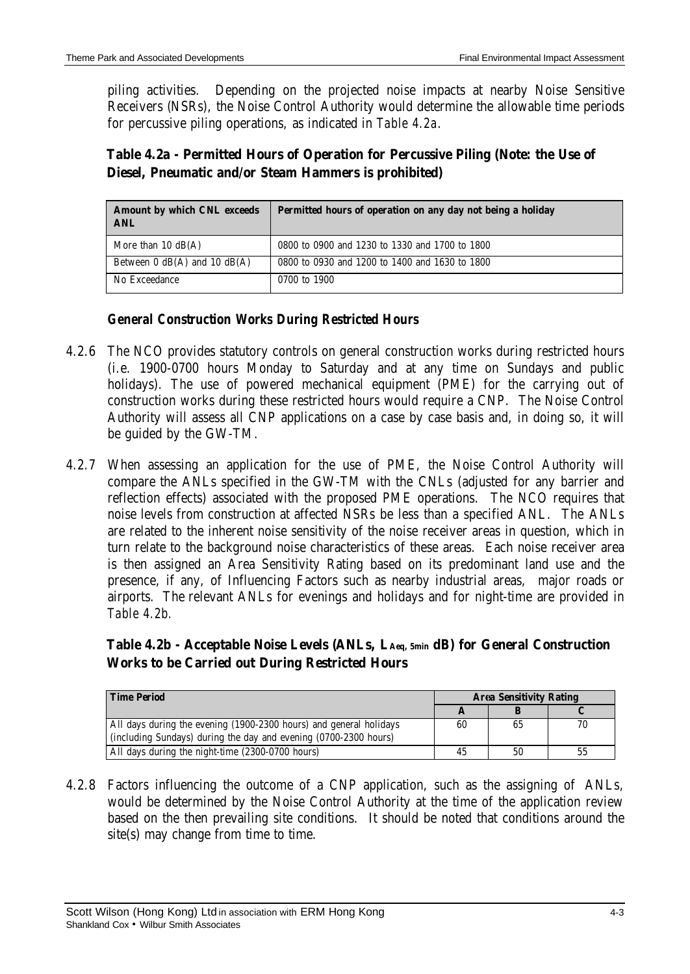piling activities. Depending on the projected noise impacts at nearby Noise Sensitive Receivers (NSRs), the Noise Control Authority would determine the allowable time periods for percussive piling operations, as indicated in *Table 4.2a*.

# **Table 4.2a - Permitted Hours of Operation for Percussive Piling (Note: the Use of Diesel, Pneumatic and/or Steam Hammers is prohibited)**

| Amount by which CNL exceeds<br>ANL | Permitted hours of operation on any day not being a holiday |
|------------------------------------|-------------------------------------------------------------|
| More than $10 \text{ dB}(A)$       | 0800 to 0900 and 1230 to 1330 and 1700 to 1800              |
| Between $0$ dB(A) and $10$ dB(A)   | 0800 to 0930 and 1200 to 1400 and 1630 to 1800              |
| No Exceedance                      | 0700 to 1900                                                |

# *General Construction Works During Restricted Hours*

- 4.2.6 The NCO provides statutory controls on general construction works during restricted hours (i.e. 1900-0700 hours Monday to Saturday and at any time on Sundays and public holidays). The use of powered mechanical equipment (PME) for the carrying out of construction works during these restricted hours would require a CNP. The Noise Control Authority will assess all CNP applications on a case by case basis and, in doing so, it will be guided by the GW-TM.
- 4.2.7 When assessing an application for the use of PME, the Noise Control Authority will compare the ANLs specified in the GW-TM with the CNLs (adjusted for any barrier and reflection effects) associated with the proposed PME operations. The NCO requires that noise levels from construction at affected NSRs be less than a specified ANL. The ANLs are related to the inherent noise sensitivity of the noise receiver areas in question, which in turn relate to the background noise characteristics of these areas. Each noise receiver area is then assigned an Area Sensitivity Rating based on its predominant land use and the presence, if any, of Influencing Factors such as nearby industrial areas, major roads or airports. The relevant ANLs for evenings and holidays and for night-time are provided in *Table 4.2b.*

# **Table 4.2b - Acceptable Noise Levels (ANLs, LAeq, 5min dB) for General Construction Works to be Carried out During Restricted Hours**

| <b>Time Period</b>                                                 | <b>Area Sensitivity Rating</b> |    |    |
|--------------------------------------------------------------------|--------------------------------|----|----|
|                                                                    |                                |    |    |
| All days during the evening (1900-2300 hours) and general holidays | 60                             | 65 |    |
| (including Sundays) during the day and evening (0700-2300 hours)   |                                |    |    |
| All days during the night-time (2300-0700 hours)                   | 45                             | 50 | 55 |

4.2.8 Factors influencing the outcome of a CNP application, such as the assigning of ANLs, would be determined by the Noise Control Authority at the time of the application review based on the then prevailing site conditions. It should be noted that conditions around the site(s) may change from time to time.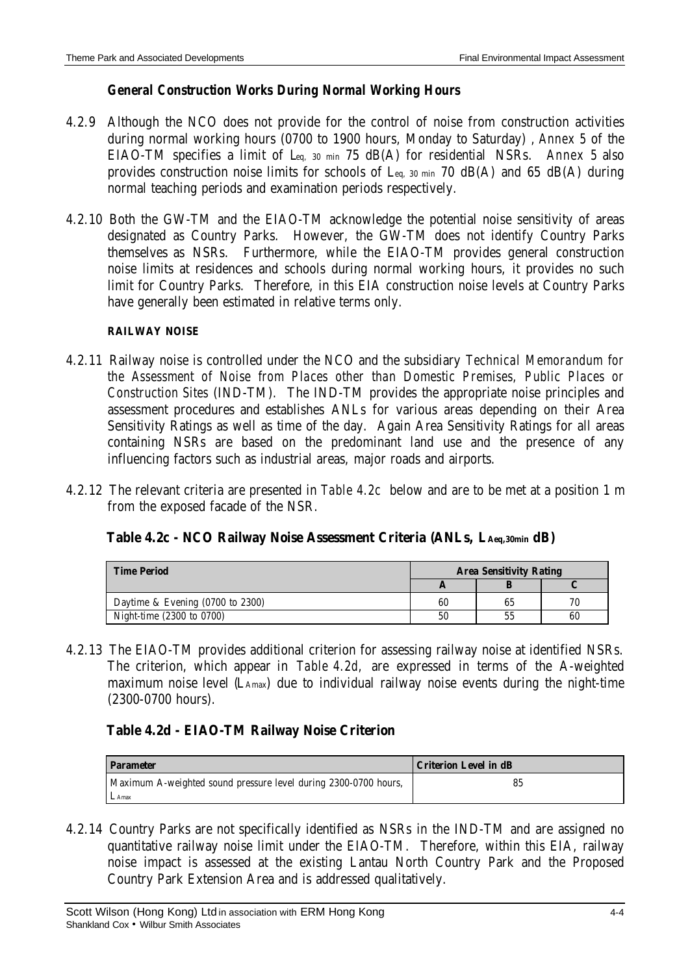### *General Construction Works During Normal Working Hours*

- 4.2.9 Although the NCO does not provide for the control of noise from construction activities during normal working hours (0700 to 1900 hours, Monday to Saturday) , *Annex 5* of the EIAO-TM specifies a limit of Leq, 30 min 75 dB(A) for residential NSRs. *Annex 5* also provides construction noise limits for schools of  $L_{\text{q}}$ , 30 min 70 dB(A) and 65 dB(A) during normal teaching periods and examination periods respectively.
- 4.2.10 Both the GW-TM and the EIAO-TM acknowledge the potential noise sensitivity of areas designated as Country Parks. However, the GW-TM does not identify Country Parks themselves as NSRs. Furthermore, while the EIAO-TM provides general construction noise limits at residences and schools during normal working hours, it provides no such limit for Country Parks. Therefore, in this EIA construction noise levels at Country Parks have generally been estimated in relative terms only.

#### **RAILWAY NOISE**

- 4.2.11 Railway noise is controlled under the NCO and the subsidiary *Technical Memorandum for the Assessment of Noise from Places other than Domestic Premises, Public Places or Construction Sites* (IND-TM). The IND-TM provides the appropriate noise principles and assessment procedures and establishes ANLs for various areas depending on their Area Sensitivity Ratings as well as time of the day. Again Area Sensitivity Ratings for all areas containing NSRs are based on the predominant land use and the presence of any influencing factors such as industrial areas, major roads and airports.
- 4.2.12 The relevant criteria are presented in *Table 4.2c* below and are to be met at a position 1 m from the exposed facade of the NSR.

| Table 4.2c - NCO Railway Noise Assessment Criteria (ANLs, LAeq,30min dB) |  |  |  |
|--------------------------------------------------------------------------|--|--|--|
|--------------------------------------------------------------------------|--|--|--|

| <b>Time Period</b>               | <b>Area Sensitivity Rating</b> |    |    |
|----------------------------------|--------------------------------|----|----|
|                                  |                                |    |    |
| Daytime & Evening (0700 to 2300) | 60                             | 65 | 70 |
| Night-time (2300 to 0700)        | 50                             | 55 | 60 |

4.2.13 The EIAO-TM provides additional criterion for assessing railway noise at identified NSRs. The criterion, which appear in *Table 4.2d,* are expressed in terms of the A-weighted maximum noise level (LAmax) due to individual railway noise events during the night-time (2300-0700 hours).

### **Table 4.2d - EIAO-TM Railway Noise Criterion**

| <b>Parameter</b>                                                | Criterion Level in dB |
|-----------------------------------------------------------------|-----------------------|
| Maximum A-weighted sound pressure level during 2300-0700 hours, | 85                    |
| LAmax                                                           |                       |

4.2.14 Country Parks are not specifically identified as NSRs in the IND-TM and are assigned no quantitative railway noise limit under the EIAO-TM. Therefore, within this EIA, railway noise impact is assessed at the existing Lantau North Country Park and the Proposed Country Park Extension Area and is addressed qualitatively.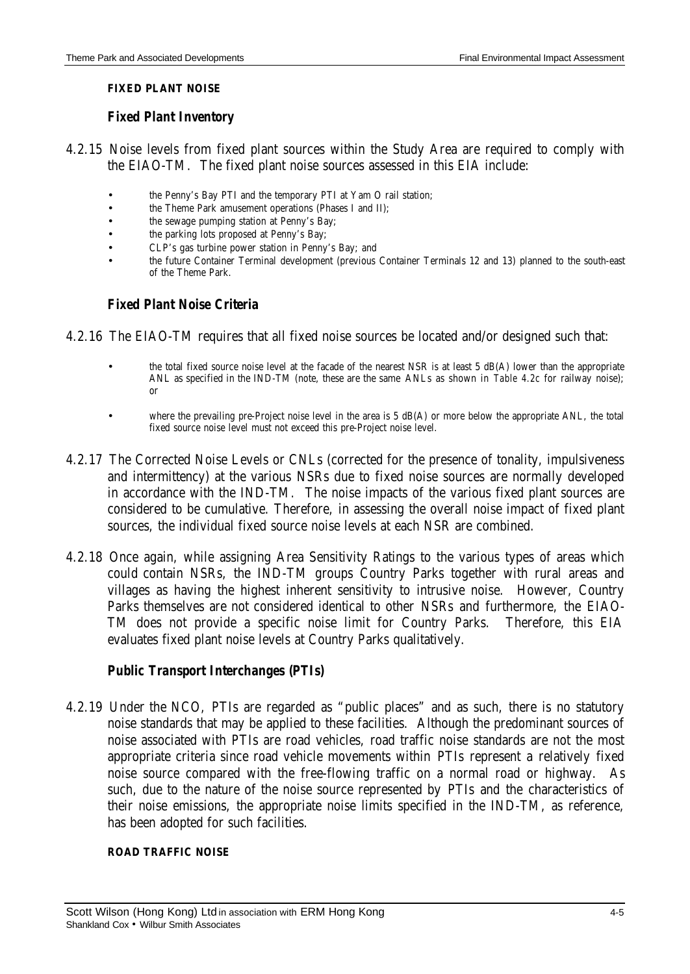#### **FIXED PLANT NOISE**

#### *Fixed Plant Inventory*

- 4.2.15 Noise levels from fixed plant sources within the Study Area are required to comply with the EIAO-TM. The fixed plant noise sources assessed in this EIA include:
	- the Penny's Bay PTI and the temporary PTI at Yam O rail station;
	- the Theme Park amusement operations (Phases I and II);
	- the sewage pumping station at Penny's Bay;
	- the parking lots proposed at Penny's Bay;
	- CLP's gas turbine power station in Penny's Bay; and
	- the future Container Terminal development (previous Container Terminals 12 and 13) planned to the south-east of the Theme Park.

#### *Fixed Plant Noise Criteria*

- 4.2.16 The EIAO-TM requires that all fixed noise sources be located and/or designed such that:
	- the total fixed source noise level at the facade of the nearest NSR is at least 5 dB(A) lower than the appropriate ANL as specified in the IND-TM (note, these are the same ANLs as shown in *Table 4.2c* for railway noise); or
	- where the prevailing pre-Project noise level in the area is 5 dB(A) or more below the appropriate ANL, the total fixed source noise level must not exceed this pre-Project noise level.
- 4.2.17 The Corrected Noise Levels or CNLs (corrected for the presence of tonality, impulsiveness and intermittency) at the various NSRs due to fixed noise sources are normally developed in accordance with the IND-TM. The noise impacts of the various fixed plant sources are considered to be cumulative. Therefore, in assessing the overall noise impact of fixed plant sources, the individual fixed source noise levels at each NSR are combined.
- 4.2.18 Once again, while assigning Area Sensitivity Ratings to the various types of areas which could contain NSRs, the IND-TM groups Country Parks together with rural areas and villages as having the highest inherent sensitivity to intrusive noise. However, Country Parks themselves are not considered identical to other NSRs and furthermore, the EIAO-TM does not provide a specific noise limit for Country Parks. Therefore, this EIA evaluates fixed plant noise levels at Country Parks qualitatively.

#### *Public Transport Interchanges (PTIs)*

4.2.19 Under the NCO, PTIs are regarded as "public places" and as such, there is no statutory noise standards that may be applied to these facilities. Although the predominant sources of noise associated with PTIs are road vehicles, road traffic noise standards are not the most appropriate criteria since road vehicle movements within PTIs represent a relatively fixed noise source compared with the free-flowing traffic on a normal road or highway. As such, due to the nature of the noise source represented by PTIs and the characteristics of their noise emissions, the appropriate noise limits specified in the IND-TM, as reference, has been adopted for such facilities.

#### **ROAD TRAFFIC NOISE**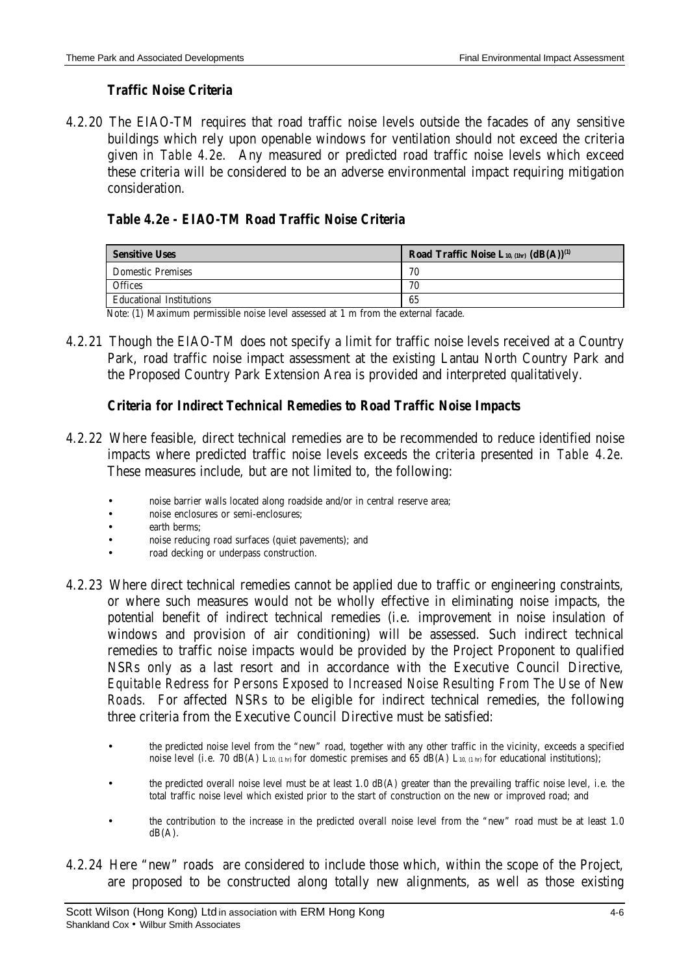#### *Traffic Noise Criteria*

4.2.20 The EIAO-TM requires that road traffic noise levels outside the facades of any sensitive buildings which rely upon openable windows for ventilation should not exceed the criteria given in *Table 4.2e*. Any measured or predicted road traffic noise levels which exceed these criteria will be considered to be an adverse environmental impact requiring mitigation consideration.

### *Table 4.2e - EIAO-TM Road Traffic Noise Criteria*

| <b>Sensitive Uses</b>           | Road Traffic Noise L <sub>10, (1hr)</sub> $(dB(A))^{(1)}$ |
|---------------------------------|-----------------------------------------------------------|
| <b>Domestic Premises</b>        | 70                                                        |
| <b>Offices</b>                  | 70                                                        |
| <b>Educational Institutions</b> | 65                                                        |

Note:(1) Maximum permissible noise level assessed at 1 m from the external facade.

4.2.21 Though the EIAO-TM does not specify a limit for traffic noise levels received at a Country Park, road traffic noise impact assessment at the existing Lantau North Country Park and the Proposed Country Park Extension Area is provided and interpreted qualitatively.

### *Criteria for Indirect Technical Remedies to Road Traffic Noise Impacts*

- 4.2.22 Where feasible, direct technical remedies are to be recommended to reduce identified noise impacts where predicted traffic noise levels exceeds the criteria presented in *Table 4.2e*. These measures include, but are not limited to, the following:
	- noise barrier walls located along roadside and/or in central reserve area;
	- noise enclosures or semi-enclosures;
	- earth berms:
	- noise reducing road surfaces (quiet pavements); and
	- road decking or underpass construction.
- 4.2.23 Where direct technical remedies cannot be applied due to traffic or engineering constraints, or where such measures would not be wholly effective in eliminating noise impacts, the potential benefit of indirect technical remedies (i.e. improvement in noise insulation of windows and provision of air conditioning) will be assessed. Such indirect technical remedies to traffic noise impacts would be provided by the Project Proponent to qualified NSRs only as a last resort and in accordance with the Executive Council Directive, *Equitable Redress for Persons Exposed to Increased Noise Resulting From The Use of New Roads.* For affected NSRs to be eligible for indirect technical remedies, the following three criteria from the Executive Council Directive must be satisfied:
	- the predicted noise level from the "new" road, together with any other traffic in the vicinity, exceeds a specified noise level (i.e. 70 dB(A) L<sub>10, (1 hr)</sub> for domestic premises and 65 dB(A) L<sub>10, (1 hr)</sub> for educational institutions);
	- the predicted overall noise level must be at least 1.0 dB(A) greater than the prevailing traffic noise level, i.e. the total traffic noise level which existed prior to the start of construction on the new or improved road; and
	- the contribution to the increase in the predicted overall noise level from the "new" road must be at least 1.0  $dB(A)$ .
- 4.2.24 Here "new" roads are considered to include those which, within the scope of the Project, are proposed to be constructed along totally new alignments, as well as those existing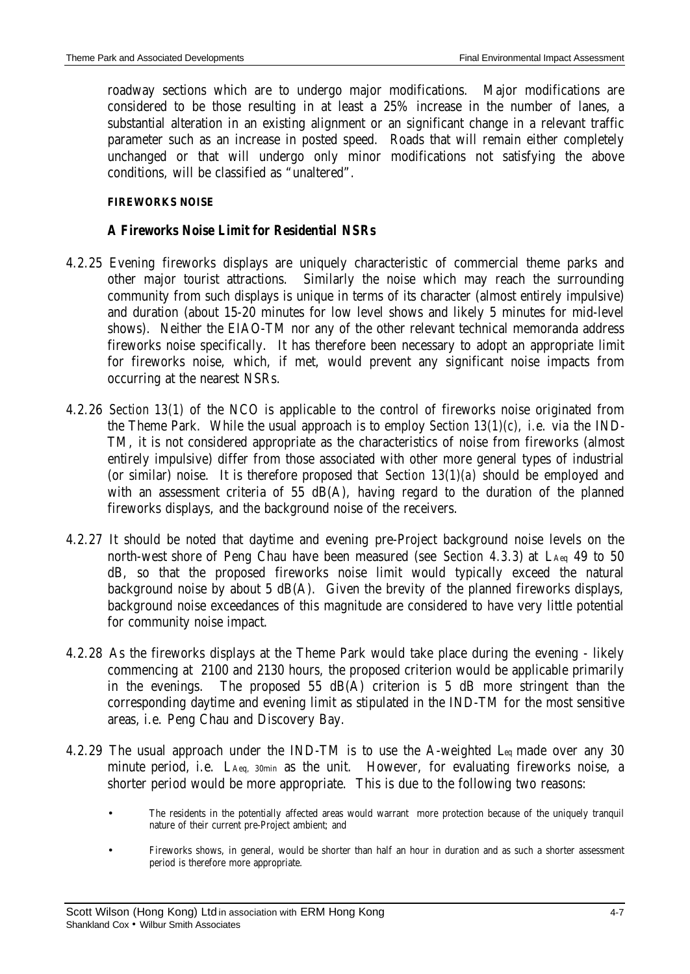roadway sections which are to undergo major modifications. Major modifications are considered to be those resulting in at least a 25% increase in the number of lanes, a substantial alteration in an existing alignment or an significant change in a relevant traffic parameter such as an increase in posted speed. Roads that will remain either completely unchanged or that will undergo only minor modifications not satisfying the above conditions, will be classified as "unaltered".

#### **FIREWORKS NOISE**

#### *A Fireworks Noise Limit for Residential NSRs*

- 4.2.25 Evening fireworks displays are uniquely characteristic of commercial theme parks and other major tourist attractions. Similarly the noise which may reach the surrounding community from such displays is unique in terms of its character (almost entirely impulsive) and duration (about 15-20 minutes for low level shows and likely 5 minutes for mid-level shows). Neither the EIAO-TM nor any of the other relevant technical memoranda address fireworks noise specifically. It has therefore been necessary to adopt an appropriate limit for fireworks noise, which, if met, would prevent any significant noise impacts from occurring at the nearest NSRs.
- 4.2.26 *Section 13(1)* of the NCO is applicable to the control of fireworks noise originated from the Theme Park. While the usual approach is to employ *Section 13(1)(c),* i.e. via the IND-TM, it is not considered appropriate as the characteristics of noise from fireworks (almost entirely impulsive) differ from those associated with other more general types of industrial (or similar) noise. It is therefore proposed that *Section 13(1)(a)* should be employed and with an assessment criteria of 55 dB(A), having regard to the duration of the planned fireworks displays, and the background noise of the receivers.
- 4.2.27 It should be noted that daytime and evening pre-Project background noise levels on the north-west shore of Peng Chau have been measured (see *Section 4.3.3*) at LAeq 49 to 50 dB, so that the proposed fireworks noise limit would typically exceed the natural background noise by about 5 dB(A). Given the brevity of the planned fireworks displays, background noise exceedances of this magnitude are considered to have very little potential for community noise impact.
- 4.2.28 As the fireworks displays at the Theme Park would take place during the evening likely commencing at 2100 and 2130 hours, the proposed criterion would be applicable primarily in the evenings. The proposed 55 dB(A) criterion is 5 dB more stringent than the corresponding daytime and evening limit as stipulated in the IND-TM for the most sensitive areas, i.e. Peng Chau and Discovery Bay.
- 4.2.29 The usual approach under the IND-TM is to use the A-weighted Leq made over any 30 minute period, i.e. LAeq, 30min as the unit. However, for evaluating fireworks noise, a shorter period would be more appropriate. This is due to the following two reasons:
	- The residents in the potentially affected areas would warrant more protection because of the uniquely tranquil nature of their current pre-Project ambient; and
	- Fireworks shows, in general, would be shorter than half an hour in duration and as such a shorter assessment period is therefore more appropriate.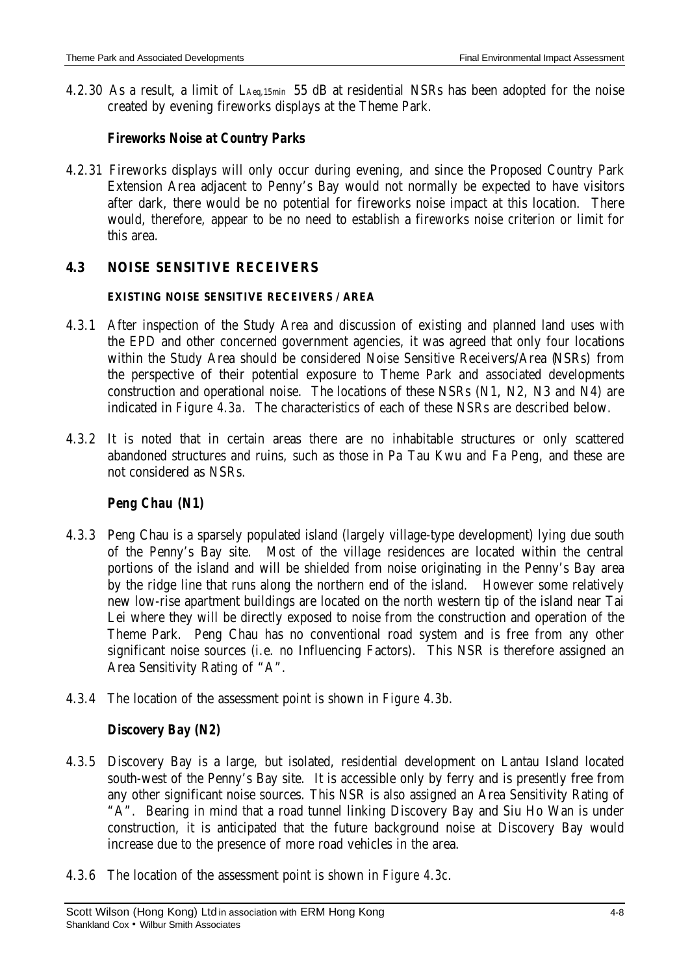4.2.30 As a result, a limit of LAeq,15min 55 dB at residential NSRs has been adopted for the noise created by evening fireworks displays at the Theme Park.

#### *Fireworks Noise at Country Parks*

4.2.31 Fireworks displays will only occur during evening, and since the Proposed Country Park Extension Area adjacent to Penny's Bay would not normally be expected to have visitors after dark, there would be no potential for fireworks noise impact at this location. There would, therefore, appear to be no need to establish a fireworks noise criterion or limit for this area.

#### **4.3 NOISE SENSITIVE RECEIVERS**

#### **EXISTING NOISE SENSITIVE RECEIVERS / AREA**

- 4.3.1 After inspection of the Study Area and discussion of existing and planned land uses with the EPD and other concerned government agencies, it was agreed that only four locations within the Study Area should be considered Noise Sensitive Receivers/Area (NSRs) from the perspective of their potential exposure to Theme Park and associated developments construction and operational noise. The locations of these NSRs (N1, N2, N3 and N4) are indicated in *Figure 4.3a.* The characteristics of each of these NSRs are described below.
- 4.3.2 It is noted that in certain areas there are no inhabitable structures or only scattered abandoned structures and ruins, such as those in Pa Tau Kwu and Fa Peng, and these are not considered as NSRs.

### *Peng Chau (N1)*

- 4.3.3 Peng Chau is a sparsely populated island (largely village-type development) lying due south of the Penny's Bay site. Most of the village residences are located within the central portions of the island and will be shielded from noise originating in the Penny's Bay area by the ridge line that runs along the northern end of the island. However some relatively new low-rise apartment buildings are located on the north western tip of the island near Tai Lei where they will be directly exposed to noise from the construction and operation of the Theme Park. Peng Chau has no conventional road system and is free from any other significant noise sources (i.e. no Influencing Factors). This NSR is therefore assigned an Area Sensitivity Rating of "A".
- 4.3.4 The location of the assessment point is shown in *Figure 4.3b*.

### *Discovery Bay (N2)*

- 4.3.5 Discovery Bay is a large, but isolated, residential development on Lantau Island located south-west of the Penny's Bay site. It is accessible only by ferry and is presently free from any other significant noise sources. This NSR is also assigned an Area Sensitivity Rating of "A". Bearing in mind that a road tunnel linking Discovery Bay and Siu Ho Wan is under construction, it is anticipated that the future background noise at Discovery Bay would increase due to the presence of more road vehicles in the area.
- 4.3.6 The location of the assessment point is shown in *Figure 4.3c*.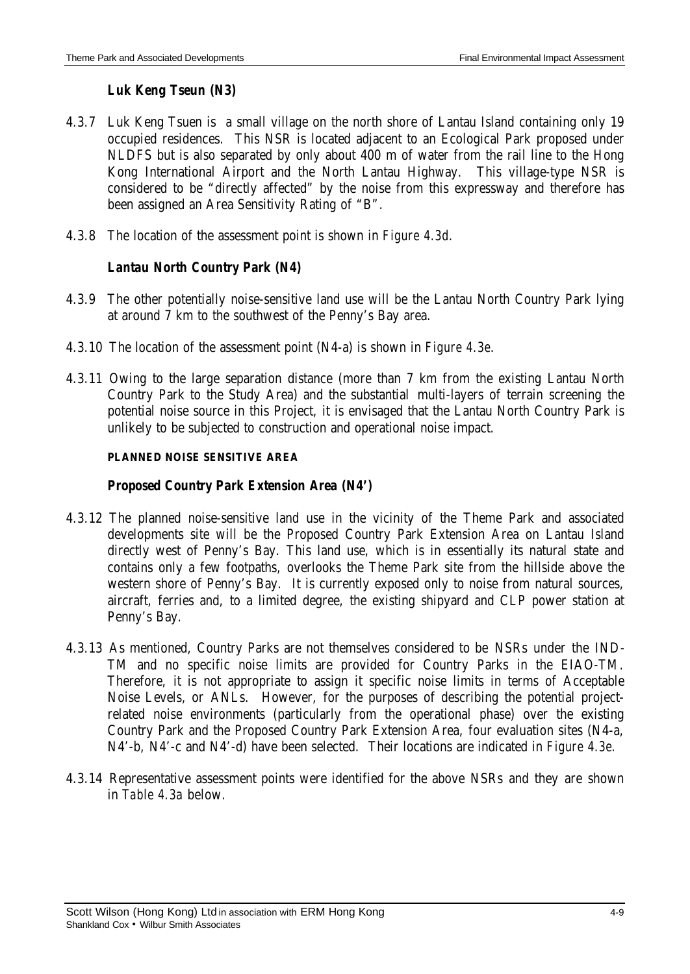### *Luk Keng Tseun (N3)*

- 4.3.7 Luk Keng Tsuen is a small village on the north shore of Lantau Island containing only 19 occupied residences. This NSR is located adjacent to an Ecological Park proposed under NLDFS but is also separated by only about 400 m of water from the rail line to the Hong Kong International Airport and the North Lantau Highway. This village-type NSR is considered to be "directly affected" by the noise from this expressway and therefore has been assigned an Area Sensitivity Rating of "B".
- 4.3.8 The location of the assessment point is shown in *Figure 4.3d*.

# *Lantau North Country Park (N4)*

- 4.3.9 The other potentially noise-sensitive land use will be the Lantau North Country Park lying at around 7 km to the southwest of the Penny's Bay area.
- 4.3.10 The location of the assessment point (N4-a) is shown in *Figure 4.3e*.
- 4.3.11 Owing to the large separation distance (more than 7 km from the existing Lantau North Country Park to the Study Area) and the substantial multi-layers of terrain screening the potential noise source in this Project, it is envisaged that the Lantau North Country Park is unlikely to be subjected to construction and operational noise impact.

#### **PLANNED NOISE SENSITIVE AREA**

### *Proposed Country Park Extension Area (N4')*

- 4.3.12 The planned noise-sensitive land use in the vicinity of the Theme Park and associated developments site will be the Proposed Country Park Extension Area on Lantau Island directly west of Penny's Bay. This land use, which is in essentially its natural state and contains only a few footpaths, overlooks the Theme Park site from the hillside above the western shore of Penny's Bay. It is currently exposed only to noise from natural sources, aircraft, ferries and, to a limited degree, the existing shipyard and CLP power station at Penny's Bay.
- 4.3.13 As mentioned, Country Parks are not themselves considered to be NSRs under the IND-TM and no specific noise limits are provided for Country Parks in the EIAO-TM. Therefore, it is not appropriate to assign it specific noise limits in terms of Acceptable Noise Levels, or ANLs. However, for the purposes of describing the potential projectrelated noise environments (particularly from the operational phase) over the existing Country Park and the Proposed Country Park Extension Area, four evaluation sites (N4-a, N4'-b, N4'-c and N4'-d) have been selected. Their locations are indicated in *Figure 4.3e.*
- 4.3.14 Representative assessment points were identified for the above NSRs and they are shown in *Table 4.3a* below.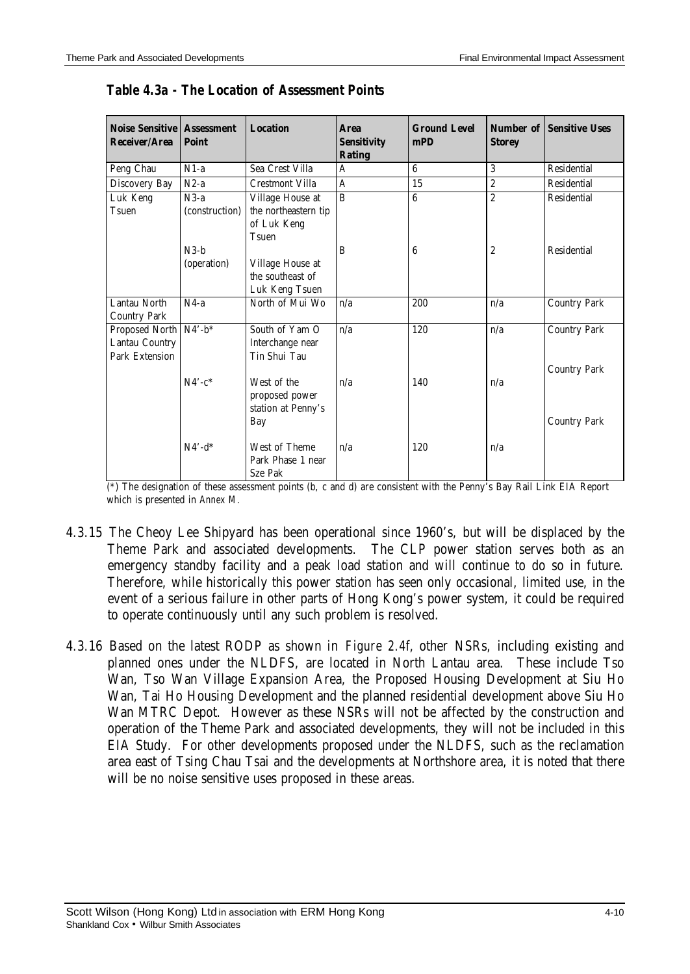| <b>Noise Sensitive   Assessment</b><br>Receiver/Area | <b>Point</b>   | <b>Location</b>        | <b>Area</b><br><b>Sensitivity</b><br><b>Rating</b> | <b>Ground Level</b><br>mPD | <b>Storey</b>    | <b>Number of Sensitive Uses</b> |
|------------------------------------------------------|----------------|------------------------|----------------------------------------------------|----------------------------|------------------|---------------------------------|
| Peng Chau                                            | $N1-a$         | Sea Crest Villa        | A                                                  | $\boldsymbol{6}$           | $\overline{3}$   | Residential                     |
| Discovery Bay                                        | $N2-a$         | <b>Crestmont Villa</b> | A                                                  | 15                         | $\overline{2}$   | <b>Residential</b>              |
| Luk Keng                                             | $N3-a$         | Village House at       | B                                                  | $\boldsymbol{6}$           | $\overline{2}$   | <b>Residential</b>              |
| Tsuen                                                | (construction) | the northeastern tip   |                                                    |                            |                  |                                 |
|                                                      |                | of Luk Keng            |                                                    |                            |                  |                                 |
|                                                      |                | Tsuen                  |                                                    |                            |                  |                                 |
|                                                      | $N3-h$         |                        | B                                                  | 6                          | $\boldsymbol{2}$ | Residential                     |
|                                                      | (operation)    | Village House at       |                                                    |                            |                  |                                 |
|                                                      |                | the southeast of       |                                                    |                            |                  |                                 |
|                                                      |                | Luk Keng Tsuen         |                                                    |                            |                  |                                 |
| Lantau North                                         | $N4-a$         | North of Mui Wo        | n/a                                                | 200                        | n/a              | <b>Country Park</b>             |
| <b>Country Park</b>                                  |                |                        |                                                    |                            |                  |                                 |
| Proposed North N4'-b*                                |                | South of Yam O         | n/a                                                | 120                        | n/a              | <b>Country Park</b>             |
| Lantau Country                                       |                | Interchange near       |                                                    |                            |                  |                                 |
| Park Extension                                       |                | Tin Shui Tau           |                                                    |                            |                  |                                 |
|                                                      |                |                        |                                                    |                            |                  | <b>Country Park</b>             |
|                                                      | $N4'-c^*$      | West of the            | n/a                                                | 140                        | n/a              |                                 |
|                                                      |                | proposed power         |                                                    |                            |                  |                                 |
|                                                      |                | station at Penny's     |                                                    |                            |                  |                                 |
|                                                      |                | Bay                    |                                                    |                            |                  | <b>Country Park</b>             |
|                                                      | $N4'$ -d*      | West of Theme          | n/a                                                | 120                        | n/a              |                                 |
|                                                      |                | Park Phase 1 near      |                                                    |                            |                  |                                 |
|                                                      |                | Sze Pak                |                                                    |                            |                  |                                 |

*Table 4.3a - The Location of Assessment Points*

(\*) The designation of these assessment points (b, c and d) are consistent with the Penny's Bay Rail Link EIA Report which is presented in *Annex M.*

- 4.3.15 The Cheoy Lee Shipyard has been operational since 1960's, but will be displaced by the Theme Park and associated developments. The CLP power station serves both as an emergency standby facility and a peak load station and will continue to do so in future. Therefore, while historically this power station has seen only occasional, limited use, in the event of a serious failure in other parts of Hong Kong's power system, it could be required to operate continuously until any such problem is resolved.
- 4.3.16 Based on the latest RODP as shown in *Figure 2.4f*, other NSRs, including existing and planned ones under the NLDFS, are located in North Lantau area. These include Tso Wan, Tso Wan Village Expansion Area, the Proposed Housing Development at Siu Ho Wan, Tai Ho Housing Development and the planned residential development above Siu Ho Wan MTRC Depot. However as these NSRs will not be affected by the construction and operation of the Theme Park and associated developments, they will not be included in this EIA Study. For other developments proposed under the NLDFS, such as the reclamation area east of Tsing Chau Tsai and the developments at Northshore area, it is noted that there will be no noise sensitive uses proposed in these areas.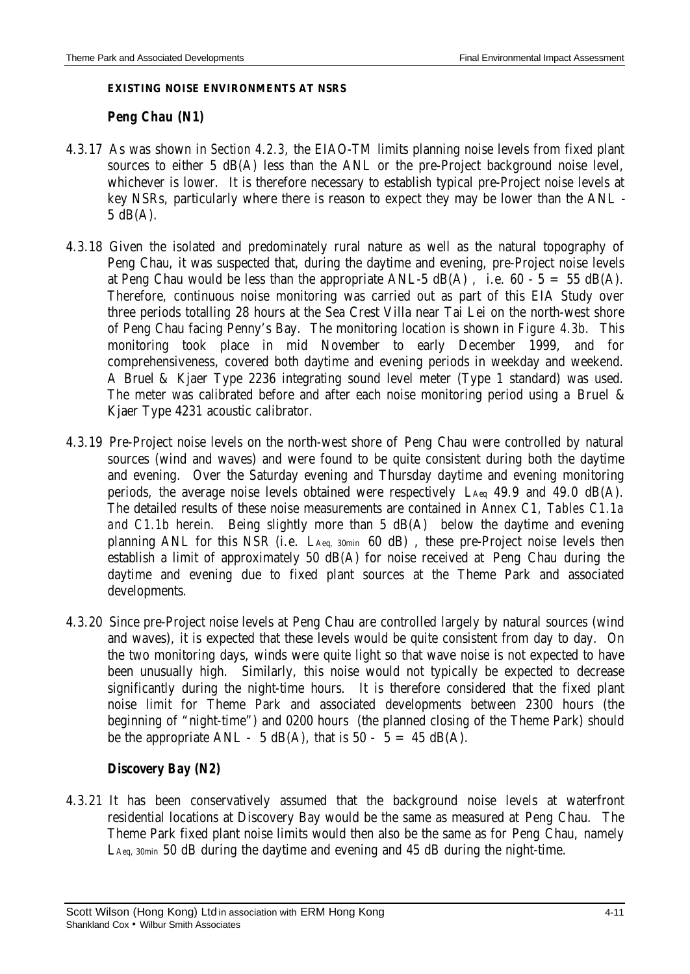#### **EXISTING NOISE ENVIRONMENTS AT NSRS**

#### *Peng Chau (N1)*

- 4.3.17 As was shown in *Section 4.2.3*, the EIAO-TM limits planning noise levels from fixed plant sources to either 5 dB(A) less than the ANL or the pre-Project background noise level, whichever is lower. It is therefore necessary to establish typical pre-Project noise levels at key NSRs, particularly where there is reason to expect they may be lower than the ANL - 5 dB(A).
- 4.3.18 Given the isolated and predominately rural nature as well as the natural topography of Peng Chau, it was suspected that, during the daytime and evening, pre-Project noise levels at Peng Chau would be less than the appropriate  $ANL-5$  dB(A), i.e. 60 - 5 = 55 dB(A). Therefore, continuous noise monitoring was carried out as part of this EIA Study over three periods totalling 28 hours at the Sea Crest Villa near Tai Lei on the north-west shore of Peng Chau facing Penny's Bay. The monitoring location is shown in *Figure 4.3b*. This monitoring took place in mid November to early December 1999, and for comprehensiveness, covered both daytime and evening periods in weekday and weekend. A Bruel & Kjaer Type 2236 integrating sound level meter (Type 1 standard) was used. The meter was calibrated before and after each noise monitoring period using a Bruel & Kjaer Type 4231 acoustic calibrator.
- 4.3.19 Pre-Project noise levels on the north-west shore of Peng Chau were controlled by natural sources (wind and waves) and were found to be quite consistent during both the daytime and evening. Over the Saturday evening and Thursday daytime and evening monitoring periods, the average noise levels obtained were respectively LAeq 49.9 and 49.0 dB(A). The detailed results of these noise measurements are contained in *Annex C1, Tables C1.1a and C1.1b* herein. Being slightly more than 5 dB(A) below the daytime and evening planning ANL for this NSR (i.e. LAeq, 30min 60 dB) , these pre-Project noise levels then establish a limit of approximately 50 dB(A) for noise received at Peng Chau during the daytime and evening due to fixed plant sources at the Theme Park and associated developments.
- 4.3.20 Since pre-Project noise levels at Peng Chau are controlled largely by natural sources (wind and waves), it is expected that these levels would be quite consistent from day to day. On the two monitoring days, winds were quite light so that wave noise is not expected to have been unusually high. Similarly, this noise would not typically be expected to decrease significantly during the night-time hours. It is therefore considered that the fixed plant noise limit for Theme Park and associated developments between 2300 hours (the beginning of "night-time") and 0200 hours (the planned closing of the Theme Park) should be the appropriate ANL - 5 dB(A), that is  $50 - 5 = 45$  dB(A).

### *Discovery Bay (N2)*

4.3.21 It has been conservatively assumed that the background noise levels at waterfront residential locations at Discovery Bay would be the same as measured at Peng Chau. The Theme Park fixed plant noise limits would then also be the same as for Peng Chau, namely LAeq, 30min 50 dB during the daytime and evening and 45 dB during the night-time.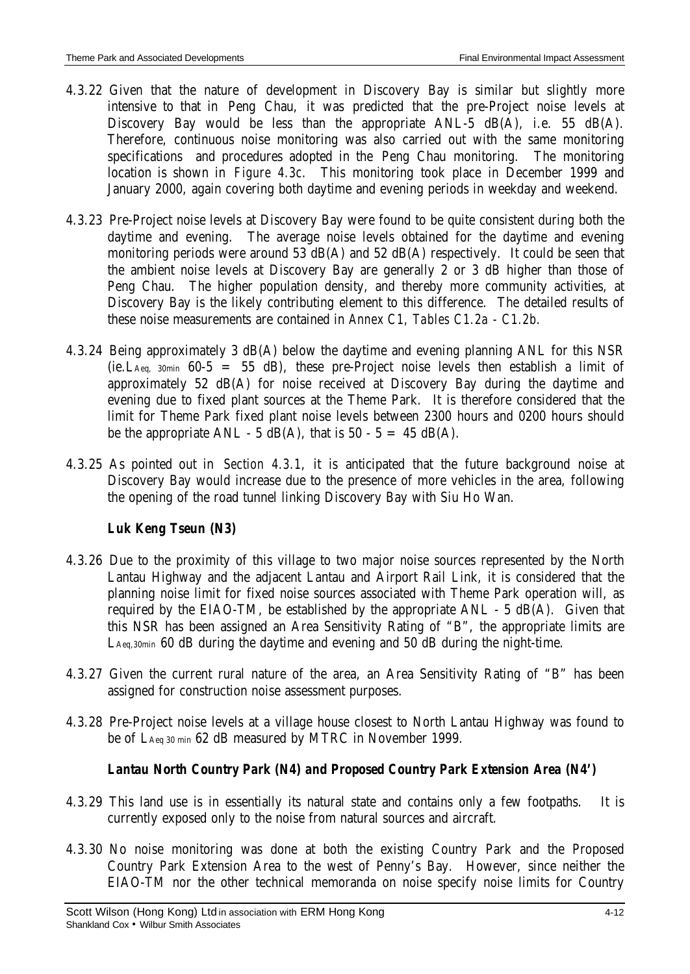- 4.3.22 Given that the nature of development in Discovery Bay is similar but slightly more intensive to that in Peng Chau, it was predicted that the pre-Project noise levels at Discovery Bay would be less than the appropriate ANL-5 dB(A), i.e. 55 dB(A). Therefore, continuous noise monitoring was also carried out with the same monitoring specifications and procedures adopted in the Peng Chau monitoring. The monitoring location is shown in *Figure 4.3c*. This monitoring took place in December 1999 and January 2000, again covering both daytime and evening periods in weekday and weekend.
- 4.3.23 Pre-Project noise levels at Discovery Bay were found to be quite consistent during both the daytime and evening. The average noise levels obtained for the daytime and evening monitoring periods were around 53 dB(A) and 52 dB(A) respectively. It could be seen that the ambient noise levels at Discovery Bay are generally 2 or 3 dB higher than those of Peng Chau. The higher population density, and thereby more community activities, at Discovery Bay is the likely contributing element to this difference. The detailed results of these noise measurements are contained in *Annex C1, Tables C1.2a - C1.2b*.
- 4.3.24 Being approximately 3 dB(A) below the daytime and evening planning ANL for this NSR (ie. L<sub>Aeq, 30min</sub> 60-5 = 55 dB), these pre-Project noise levels then establish a limit of approximately 52 dB(A) for noise received at Discovery Bay during the daytime and evening due to fixed plant sources at the Theme Park. It is therefore considered that the limit for Theme Park fixed plant noise levels between 2300 hours and 0200 hours should be the appropriate ANL - 5  $dB(A)$ , that is 50 - 5 = 45  $dB(A)$ .
- 4.3.25 As pointed out in *Section 4.3.1*, it is anticipated that the future background noise at Discovery Bay would increase due to the presence of more vehicles in the area, following the opening of the road tunnel linking Discovery Bay with Siu Ho Wan.

# *Luk Keng Tseun (N3)*

- 4.3.26 Due to the proximity of this village to two major noise sources represented by the North Lantau Highway and the adjacent Lantau and Airport Rail Link, it is considered that the planning noise limit for fixed noise sources associated with Theme Park operation will, as required by the EIAO-TM, be established by the appropriate  $ANL - 5$   $dB(A)$ . Given that this NSR has been assigned an Area Sensitivity Rating of "B", the appropriate limits are LAeq,30min 60 dB during the daytime and evening and 50 dB during the night-time.
- 4.3.27 Given the current rural nature of the area, an Area Sensitivity Rating of "B" has been assigned for construction noise assessment purposes.
- 4.3.28 Pre-Project noise levels at a village house closest to North Lantau Highway was found to be of LAeq 30 min 62 dB measured by MTRC in November 1999.

# *Lantau North Country Park (N4) and Proposed Country Park Extension Area (N4')*

- 4.3.29 This land use is in essentially its natural state and contains only a few footpaths. It is currently exposed only to the noise from natural sources and aircraft.
- 4.3.30 No noise monitoring was done at both the existing Country Park and the Proposed Country Park Extension Area to the west of Penny's Bay. However, since neither the EIAO-TM nor the other technical memoranda on noise specify noise limits for Country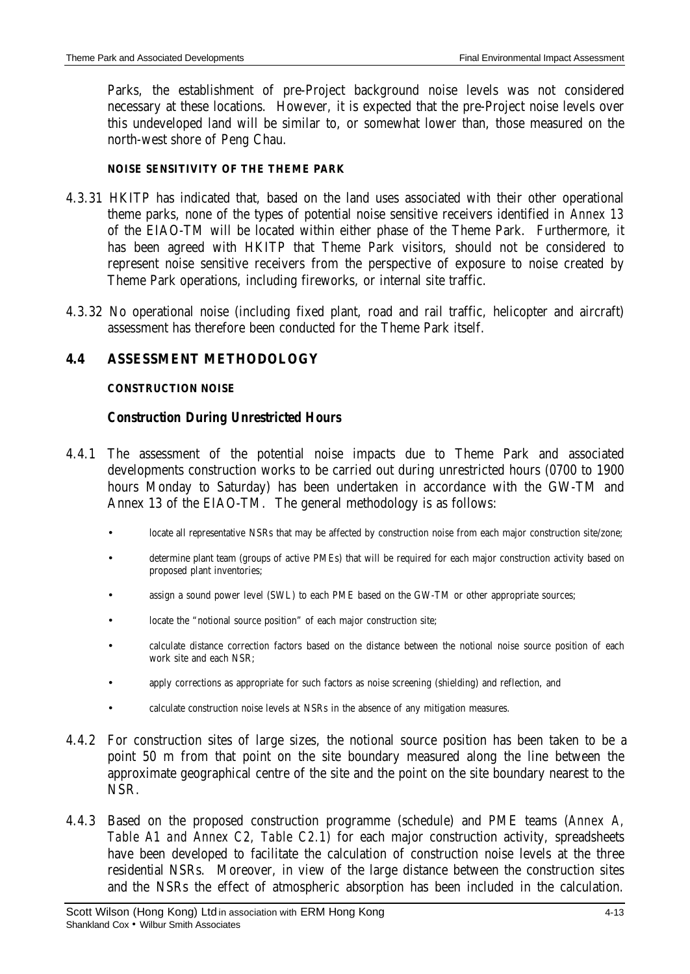Parks, the establishment of pre-Project background noise levels was not considered necessary at these locations. However, it is expected that the pre-Project noise levels over this undeveloped land will be similar to, or somewhat lower than, those measured on the north-west shore of Peng Chau.

#### **NOISE SENSITIVITY OF THE THEME PARK**

- 4.3.31 HKITP has indicated that, based on the land uses associated with their other operational theme parks, none of the types of potential noise sensitive receivers identified in *Annex 13* of the EIAO-TM will be located within either phase of the Theme Park. Furthermore, it has been agreed with HKITP that Theme Park visitors, should not be considered to represent noise sensitive receivers from the perspective of exposure to noise created by Theme Park operations, including fireworks, or internal site traffic.
- 4.3.32 No operational noise (including fixed plant, road and rail traffic, helicopter and aircraft) assessment has therefore been conducted for the Theme Park itself.

# **4.4 ASSESSMENT METHODOLOGY**

#### **CONSTRUCTION NOISE**

### *Construction During Unrestricted Hours*

- 4.4.1 The assessment of the potential noise impacts due to Theme Park and associated developments construction works to be carried out during unrestricted hours (0700 to 1900 hours Monday to Saturday) has been undertaken in accordance with the GW-TM and Annex 13 of the EIAO-TM. The general methodology is as follows:
	- locate all representative NSRs that may be affected by construction noise from each major construction site/zone;
	- determine plant team (groups of active PMEs) that will be required for each major construction activity based on proposed plant inventories;
	- assign a sound power level (SWL) to each PME based on the GW-TM or other appropriate sources;
	- locate the "notional source position" of each major construction site;
	- calculate distance correction factors based on the distance between the notional noise source position of each work site and each NSR;
	- apply corrections as appropriate for such factors as noise screening (shielding) and reflection, and
	- calculate construction noise levels at NSRs in the absence of any mitigation measures.
- 4.4.2 For construction sites of large sizes, the notional source position has been taken to be a point 50 m from that point on the site boundary measured along the line between the approximate geographical centre of the site and the point on the site boundary nearest to the NSR.
- 4.4.3 Based on the proposed construction programme (schedule) and PME teams (*Annex A, Table A1 and Annex C2, Table C2.1*) for each major construction activity, spreadsheets have been developed to facilitate the calculation of construction noise levels at the three residential NSRs. Moreover, in view of the large distance between the construction sites and the NSRs the effect of atmospheric absorption has been included in the calculation.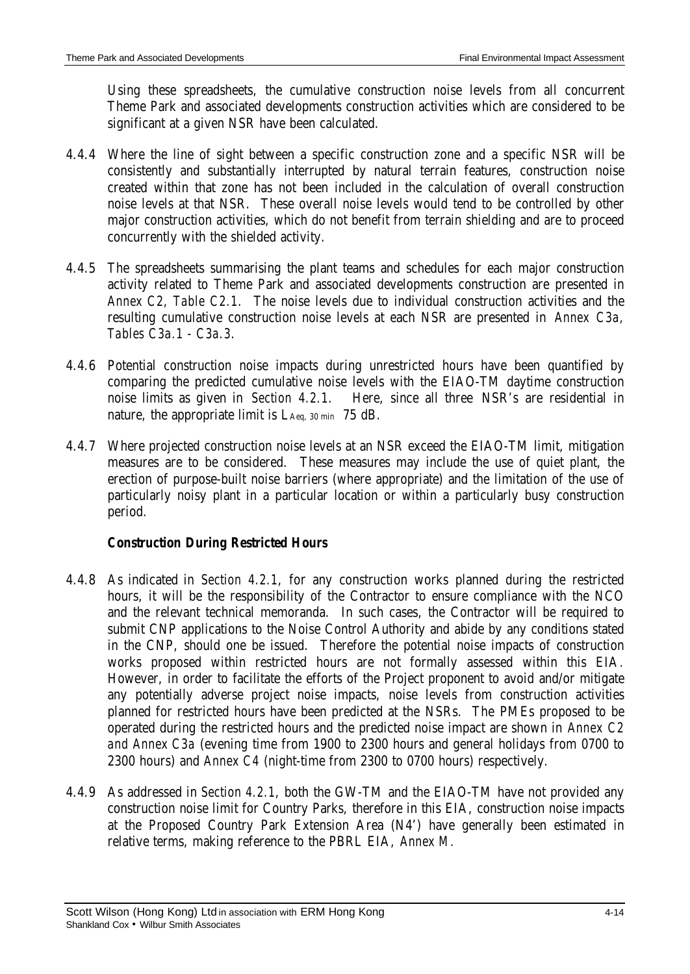Using these spreadsheets, the cumulative construction noise levels from all concurrent Theme Park and associated developments construction activities which are considered to be significant at a given NSR have been calculated.

- 4.4.4 Where the line of sight between a specific construction zone and a specific NSR will be consistently and substantially interrupted by natural terrain features, construction noise created within that zone has not been included in the calculation of overall construction noise levels at that NSR. These overall noise levels would tend to be controlled by other major construction activities, which do not benefit from terrain shielding and are to proceed concurrently with the shielded activity.
- 4.4.5 The spreadsheets summarising the plant teams and schedules for each major construction activity related to Theme Park and associated developments construction are presented in *Annex C2, Table C2.1*. The noise levels due to individual construction activities and the resulting cumulative construction noise levels at each NSR are presented in *Annex C3a, Tables C3a.1 - C3a.3*.
- 4.4.6 Potential construction noise impacts during unrestricted hours have been quantified by comparing the predicted cumulative noise levels with the EIAO-TM daytime construction noise limits as given in *Section 4.2.1*. Here, since all three NSR's are residential in nature, the appropriate limit is LAeq, 30 min 75 dB.
- 4.4.7 Where projected construction noise levels at an NSR exceed the EIAO-TM limit, mitigation measures are to be considered. These measures may include the use of quiet plant, the erection of purpose-built noise barriers (where appropriate) and the limitation of the use of particularly noisy plant in a particular location or within a particularly busy construction period.

### *Construction During Restricted Hours*

- 4.4.8 As indicated in *Section 4.2.1*, for any construction works planned during the restricted hours, it will be the responsibility of the Contractor to ensure compliance with the NCO and the relevant technical memoranda. In such cases, the Contractor will be required to submit CNP applications to the Noise Control Authority and abide by any conditions stated in the CNP, should one be issued. Therefore the potential noise impacts of construction works proposed within restricted hours are not formally assessed within this EIA*.* However, in order to facilitate the efforts of the Project proponent to avoid and/or mitigate any potentially adverse project noise impacts, noise levels from construction activities planned for restricted hours have been predicted at the NSRs. The PMEs proposed to be operated during the restricted hours and the predicted noise impact are shown in *Annex C2 and Annex C3a* (evening time from 1900 to 2300 hours and general holidays from 0700 to 2300 hours) and *Annex C4* (night-time from 2300 to 0700 hours) respectively.
- 4.4.9 As addressed in *Section 4.2.1*, both the GW-TM and the EIAO-TM have not provided any construction noise limit for Country Parks, therefore in this EIA, construction noise impacts at the Proposed Country Park Extension Area (N4') have generally been estimated in relative terms, making reference to the PBRL EIA, *Annex M.*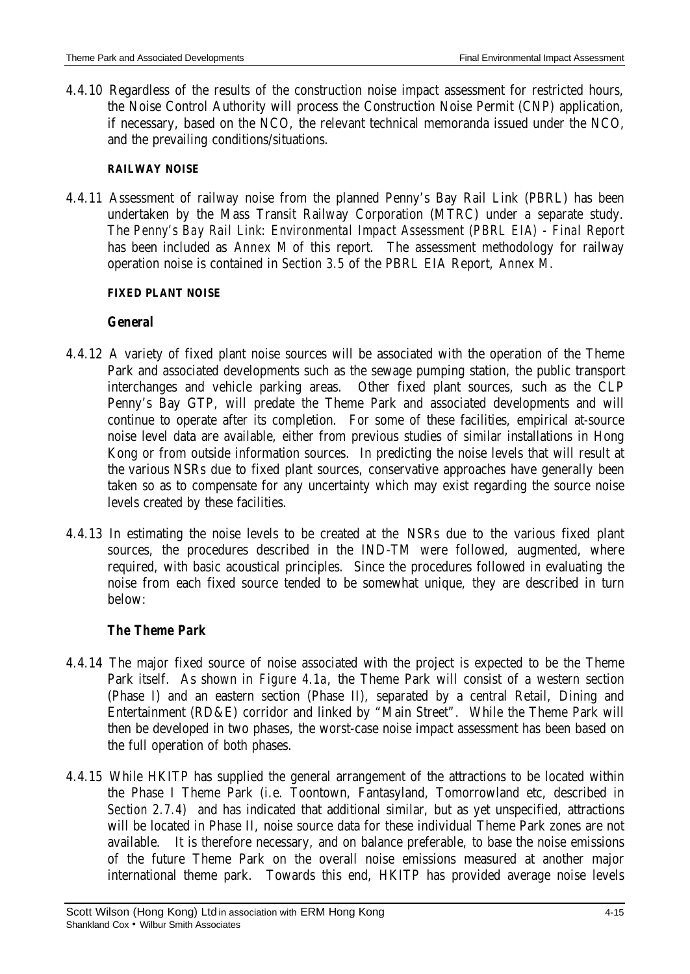4.4.10 Regardless of the results of the construction noise impact assessment for restricted hours, the Noise Control Authority will process the Construction Noise Permit (CNP) application, if necessary, based on the NCO, the relevant technical memoranda issued under the NCO, and the prevailing conditions/situations.

#### **RAILWAY NOISE**

4.4.11 Assessment of railway noise from the planned Penny's Bay Rail Link (PBRL) has been undertaken by the Mass Transit Railway Corporation (MTRC) under a separate study. The *Penny's Bay Rail Link: Environmental Impact Assessment (PBRL EIA) - Final Report* has been included as *Annex M* of this report. The assessment methodology for railway operation noise is contained in *Section 3.5* of the PBRL EIA Report, *Annex M*.

### **FIXED PLANT NOISE**

### *General*

- 4.4.12 A variety of fixed plant noise sources will be associated with the operation of the Theme Park and associated developments such as the sewage pumping station, the public transport interchanges and vehicle parking areas. Other fixed plant sources, such as the CLP Penny's Bay GTP, will predate the Theme Park and associated developments and will continue to operate after its completion. For some of these facilities, empirical at-source noise level data are available, either from previous studies of similar installations in Hong Kong or from outside information sources. In predicting the noise levels that will result at the various NSRs due to fixed plant sources, conservative approaches have generally been taken so as to compensate for any uncertainty which may exist regarding the source noise levels created by these facilities.
- 4.4.13 In estimating the noise levels to be created at the NSRs due to the various fixed plant sources, the procedures described in the IND-TM were followed, augmented, where required, with basic acoustical principles. Since the procedures followed in evaluating the noise from each fixed source tended to be somewhat unique, they are described in turn below:

### *The Theme Park*

- 4.4.14 The major fixed source of noise associated with the project is expected to be the Theme Park itself. As shown in *Figure 4.1a*, the Theme Park will consist of a western section (Phase I) and an eastern section (Phase II), separated by a central Retail, Dining and Entertainment (RD&E) corridor and linked by "Main Street". While the Theme Park will then be developed in two phases, the worst-case noise impact assessment has been based on the full operation of both phases.
- 4.4.15 While HKITP has supplied the general arrangement of the attractions to be located within the Phase I Theme Park (i.e. Toontown, Fantasyland, Tomorrowland etc, described in *Section 2.7.4*) and has indicated that additional similar, but as yet unspecified, attractions will be located in Phase II, noise source data for these individual Theme Park zones are not available. It is therefore necessary, and on balance preferable, to base the noise emissions of the future Theme Park on the overall noise emissions measured at another major international theme park. Towards this end, HKITP has provided average noise levels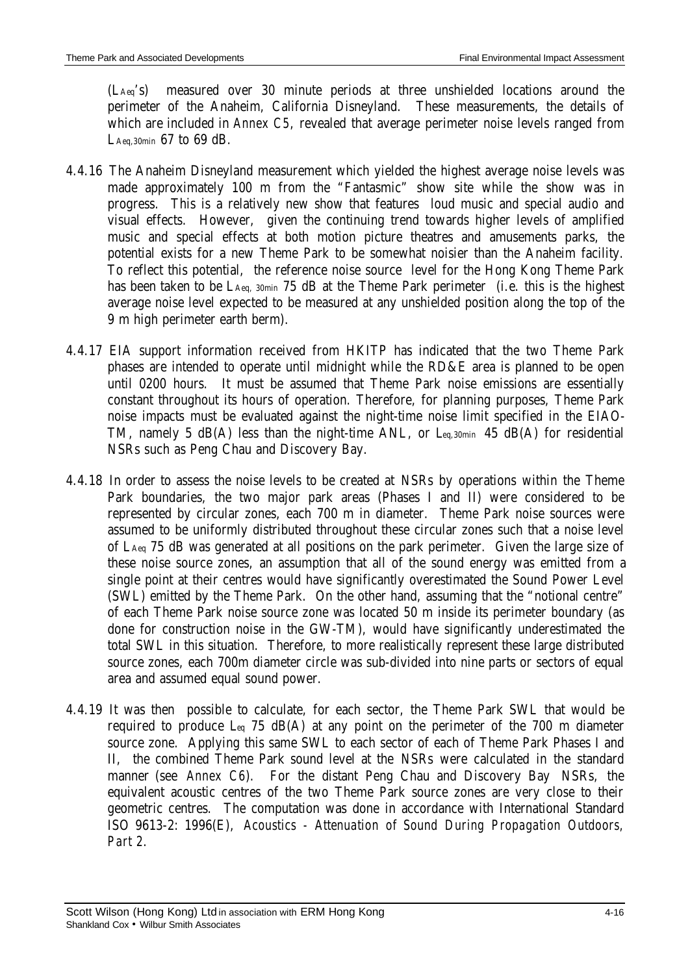(LAeq's) measured over 30 minute periods at three unshielded locations around the perimeter of the Anaheim, California Disneyland. These measurements, the details of which are included in *Annex C5*, revealed that average perimeter noise levels ranged from LAeq,30min 67 to 69 dB.

- 4.4.16 The Anaheim Disneyland measurement which yielded the highest average noise levels was made approximately 100 m from the "Fantasmic" show site while the show was in progress. This is a relatively new show that features loud music and special audio and visual effects. However, given the continuing trend towards higher levels of amplified music and special effects at both motion picture theatres and amusements parks, the potential exists for a new Theme Park to be somewhat noisier than the Anaheim facility. To reflect this potential, the reference noise source level for the Hong Kong Theme Park has been taken to be LAeq, 30min 75 dB at the Theme Park perimeter (i.e. this is the highest average noise level expected to be measured at any unshielded position along the top of the 9 m high perimeter earth berm).
- 4.4.17 EIA support information received from HKITP has indicated that the two Theme Park phases are intended to operate until midnight while the RD&E area is planned to be open until 0200 hours. It must be assumed that Theme Park noise emissions are essentially constant throughout its hours of operation. Therefore, for planning purposes, Theme Park noise impacts must be evaluated against the night-time noise limit specified in the EIAO-TM, namely 5 dB(A) less than the night-time ANL, or Leq,30min 45 dB(A) for residential NSRs such as Peng Chau and Discovery Bay.
- 4.4.18 In order to assess the noise levels to be created at NSRs by operations within the Theme Park boundaries, the two major park areas (Phases I and II) were considered to be represented by circular zones, each 700 m in diameter. Theme Park noise sources were assumed to be uniformly distributed throughout these circular zones such that a noise level of LAeq 75 dB was generated at all positions on the park perimeter. Given the large size of these noise source zones, an assumption that all of the sound energy was emitted from a single point at their centres would have significantly overestimated the Sound Power Level (SWL) emitted by the Theme Park. On the other hand, assuming that the "notional centre" of each Theme Park noise source zone was located 50 m inside its perimeter boundary (as done for construction noise in the GW-TM), would have significantly underestimated the total SWL in this situation. Therefore, to more realistically represent these large distributed source zones, each 700m diameter circle was sub-divided into nine parts or sectors of equal area and assumed equal sound power.
- 4.4.19 It was then possible to calculate, for each sector, the Theme Park SWL that would be required to produce  $L_{eq}$  75 dB(A) at any point on the perimeter of the 700 m diameter source zone. Applying this same SWL to each sector of each of Theme Park Phases I and II, the combined Theme Park sound level at the NSRs were calculated in the standard manner (see *Annex C6*). For the distant Peng Chau and Discovery Bay NSRs, the equivalent acoustic centres of the two Theme Park source zones are very close to their geometric centres. The computation was done in accordance with International Standard ISO 9613-2: 1996(E), *Acoustics - Attenuation of Sound During Propagation Outdoors, Part 2*.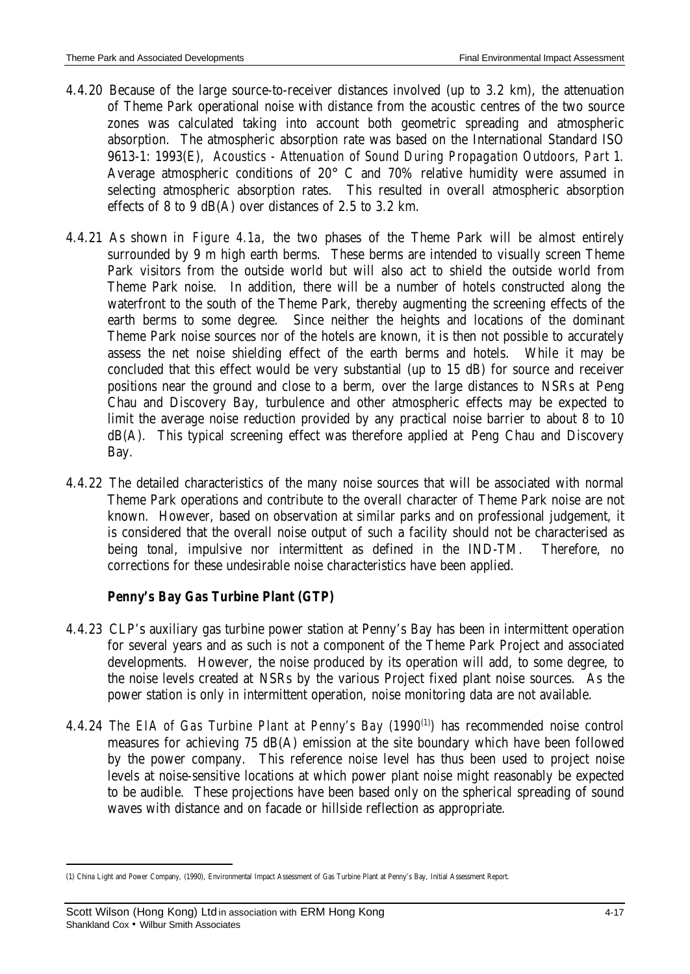- 4.4.20 Because of the large source-to-receiver distances involved (up to 3.2 km), the attenuation of Theme Park operational noise with distance from the acoustic centres of the two source zones was calculated taking into account both geometric spreading and atmospheric absorption. The atmospheric absorption rate was based on the International Standard ISO 9613-1: 1993(E), *Acoustics - Attenuation of Sound During Propagation Outdoors, Part 1*. Average atmospheric conditions of 20° C and 70% relative humidity were assumed in selecting atmospheric absorption rates. This resulted in overall atmospheric absorption effects of 8 to 9 dB(A) over distances of 2.5 to 3.2 km.
- 4.4.21 As shown in *Figure 4.1a*, the two phases of the Theme Park will be almost entirely surrounded by 9 m high earth berms. These berms are intended to visually screen Theme Park visitors from the outside world but will also act to shield the outside world from Theme Park noise. In addition, there will be a number of hotels constructed along the waterfront to the south of the Theme Park, thereby augmenting the screening effects of the earth berms to some degree. Since neither the heights and locations of the dominant Theme Park noise sources nor of the hotels are known, it is then not possible to accurately assess the net noise shielding effect of the earth berms and hotels. While it may be concluded that this effect would be very substantial (up to 15 dB) for source and receiver positions near the ground and close to a berm, over the large distances to NSRs at Peng Chau and Discovery Bay, turbulence and other atmospheric effects may be expected to limit the average noise reduction provided by any practical noise barrier to about 8 to 10 dB(A). This typical screening effect was therefore applied at Peng Chau and Discovery Bay.
- 4.4.22 The detailed characteristics of the many noise sources that will be associated with normal Theme Park operations and contribute to the overall character of Theme Park noise are not known. However, based on observation at similar parks and on professional judgement, it is considered that the overall noise output of such a facility should not be characterised as being tonal, impulsive nor intermittent as defined in the IND-TM. Therefore, no corrections for these undesirable noise characteristics have been applied.

# *Penny's Bay Gas Turbine Plant (GTP)*

- 4.4.23 CLP's auxiliary gas turbine power station at Penny's Bay has been in intermittent operation for several years and as such is not a component of the Theme Park Project and associated developments. However, the noise produced by its operation will add, to some degree, to the noise levels created at NSRs by the various Project fixed plant noise sources. As the power station is only in intermittent operation, noise monitoring data are not available.
- 4.4.24 *The EIA of Gas Turbine Plant at Penny's Bay (1990<sup>(1)</sup>)* has recommended noise control measures for achieving 75 dB(A) emission at the site boundary which have been followed by the power company. This reference noise level has thus been used to project noise levels at noise-sensitive locations at which power plant noise might reasonably be expected to be audible. These projections have been based only on the spherical spreading of sound waves with distance and on facade or hillside reflection as appropriate.

 $\overline{a}$ 

<sup>(1)</sup> China Light and Power Company, (1990), Environmental Impact Assessment of Gas Turbine Plant at Penny's Bay, Initial Assessment Report.

Scott Wilson (Hong Kong) Ltd in association with ERM Hong Kong **Access 19 12 12 12 13 14 17** 4-17 Shankland Cox • Wilbur Smith Associates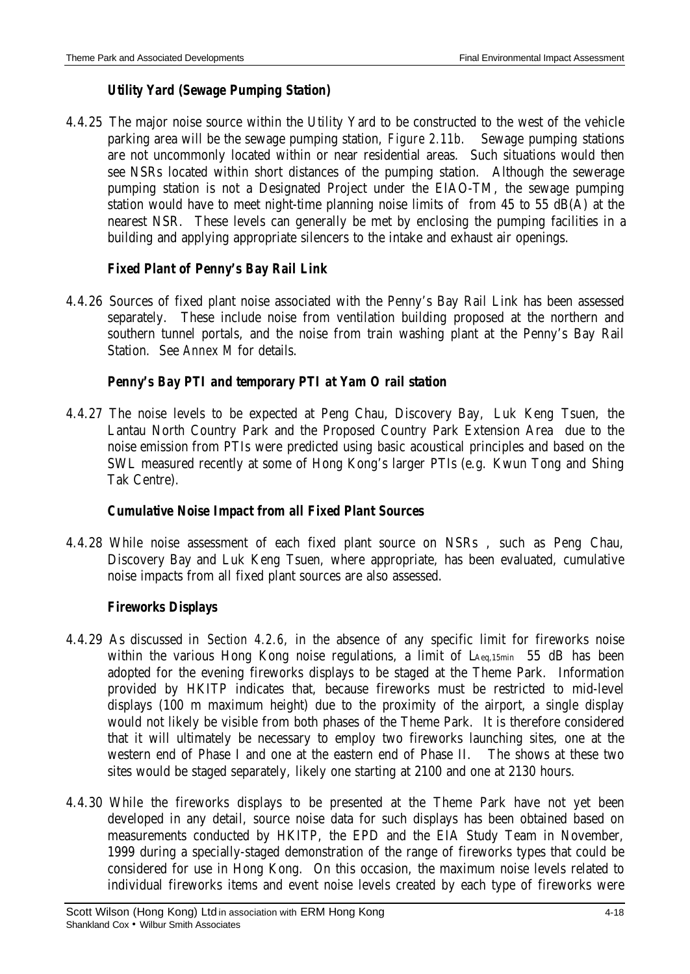### *Utility Yard (Sewage Pumping Station)*

4.4.25 The major noise source within the Utility Yard to be constructed to the west of the vehicle parking area will be the sewage pumping station, *Figure 2.11b*. Sewage pumping stations are not uncommonly located within or near residential areas. Such situations would then see NSRs located within short distances of the pumping station. Although the sewerage pumping station is not a Designated Project under the EIAO-TM, the sewage pumping station would have to meet night-time planning noise limits of from 45 to 55 dB(A) at the nearest NSR. These levels can generally be met by enclosing the pumping facilities in a building and applying appropriate silencers to the intake and exhaust air openings.

### *Fixed Plant of Penny's Bay Rail Link*

4.4.26 Sources of fixed plant noise associated with the Penny's Bay Rail Link has been assessed separately. These include noise from ventilation building proposed at the northern and southern tunnel portals, and the noise from train washing plant at the Penny's Bay Rail Station. See *Annex M* for details.

#### *Penny's Bay PTI and temporary PTI at Yam O rail station*

4.4.27 The noise levels to be expected at Peng Chau, Discovery Bay, Luk Keng Tsuen, the Lantau North Country Park and the Proposed Country Park Extension Area due to the noise emission from PTIs were predicted using basic acoustical principles and based on the SWL measured recently at some of Hong Kong's larger PTIs (e.g. Kwun Tong and Shing Tak Centre).

#### *Cumulative Noise Impact from all Fixed Plant Sources*

4.4.28 While noise assessment of each fixed plant source on NSRs , such as Peng Chau, Discovery Bay and Luk Keng Tsuen, where appropriate, has been evaluated, cumulative noise impacts from all fixed plant sources are also assessed.

### *Fireworks Displays*

- 4.4.29 As discussed in *Section 4.2.6*, in the absence of any specific limit for fireworks noise within the various Hong Kong noise regulations, a limit of LAeq,15min 55 dB has been adopted for the evening fireworks displays to be staged at the Theme Park. Information provided by HKITP indicates that, because fireworks must be restricted to mid-level displays (100 m maximum height) due to the proximity of the airport, a single display would not likely be visible from both phases of the Theme Park. It is therefore considered that it will ultimately be necessary to employ two fireworks launching sites, one at the western end of Phase I and one at the eastern end of Phase II. The shows at these two sites would be staged separately, likely one starting at 2100 and one at 2130 hours.
- 4.4.30 While the fireworks displays to be presented at the Theme Park have not yet been developed in any detail, source noise data for such displays has been obtained based on measurements conducted by HKITP, the EPD and the EIA Study Team in November, 1999 during a specially-staged demonstration of the range of fireworks types that could be considered for use in Hong Kong. On this occasion, the maximum noise levels related to individual fireworks items and event noise levels created by each type of fireworks were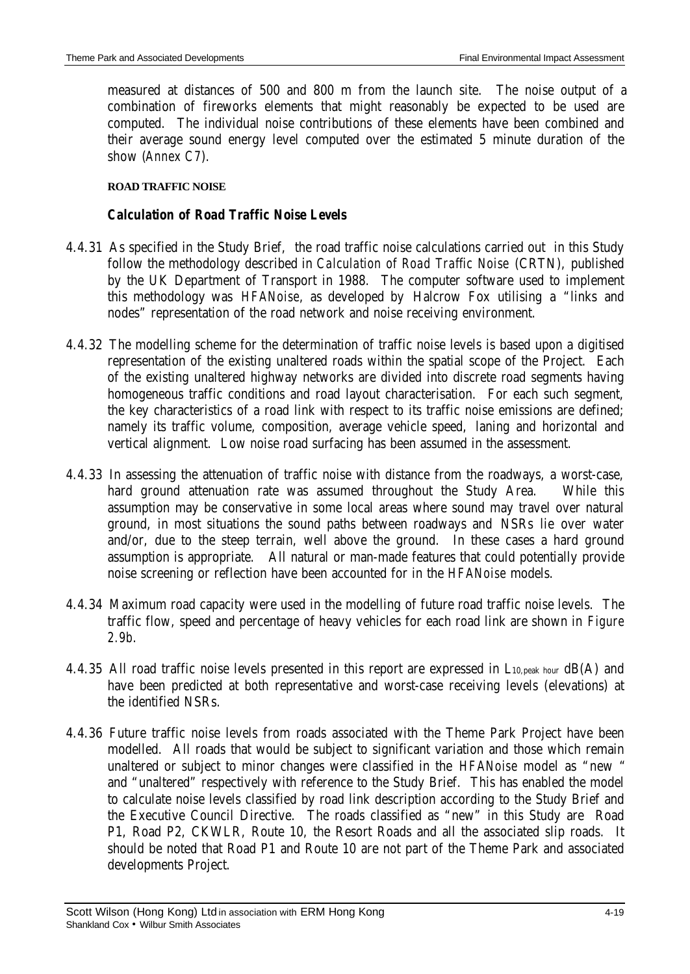measured at distances of 500 and 800 m from the launch site. The noise output of a combination of fireworks elements that might reasonably be expected to be used are computed. The individual noise contributions of these elements have been combined and their average sound energy level computed over the estimated 5 minute duration of the show (*Annex C7*).

#### **ROAD TRAFFIC NOISE**

### *Calculation of Road Traffic Noise Levels*

- 4.4.31 As specified in the Study Brief, the road traffic noise calculations carried out in this Study follow the methodology described in *Calculation of Road Traffic Noise* (CRTN), published by the UK Department of Transport in 1988. The computer software used to implement this methodology was *HFANoise*, as developed by Halcrow Fox utilising a "links and nodes" representation of the road network and noise receiving environment.
- 4.4.32 The modelling scheme for the determination of traffic noise levels is based upon a digitised representation of the existing unaltered roads within the spatial scope of the Project. Each of the existing unaltered highway networks are divided into discrete road segments having homogeneous traffic conditions and road layout characterisation. For each such segment, the key characteristics of a road link with respect to its traffic noise emissions are defined; namely its traffic volume, composition, average vehicle speed, laning and horizontal and vertical alignment. Low noise road surfacing has been assumed in the assessment.
- 4.4.33 In assessing the attenuation of traffic noise with distance from the roadways, a worst-case, hard ground attenuation rate was assumed throughout the Study Area. While this assumption may be conservative in some local areas where sound may travel over natural ground, in most situations the sound paths between roadways and NSRs lie over water and/or, due to the steep terrain, well above the ground. In these cases a hard ground assumption is appropriate. All natural or man-made features that could potentially provide noise screening or reflection have been accounted for in the *HFANoise* models.
- 4.4.34 Maximum road capacity were used in the modelling of future road traffic noise levels. The traffic flow, speed and percentage of heavy vehicles for each road link are shown in *Figure 2.9b*.
- 4.4.35 All road traffic noise levels presented in this report are expressed in L10,peak hour dB(A) and have been predicted at both representative and worst-case receiving levels (elevations) at the identified NSRs.
- 4.4.36 Future traffic noise levels from roads associated with the Theme Park Project have been modelled. All roads that would be subject to significant variation and those which remain unaltered or subject to minor changes were classified in the *HFANoise* model as "new " and "unaltered" respectively with reference to the Study Brief. This has enabled the model to calculate noise levels classified by road link description according to the Study Brief and the Executive Council Directive. The roads classified as "new" in this Study are Road P1, Road P2, CKWLR, Route 10, the Resort Roads and all the associated slip roads. It should be noted that Road P1 and Route 10 are not part of the Theme Park and associated developments Project.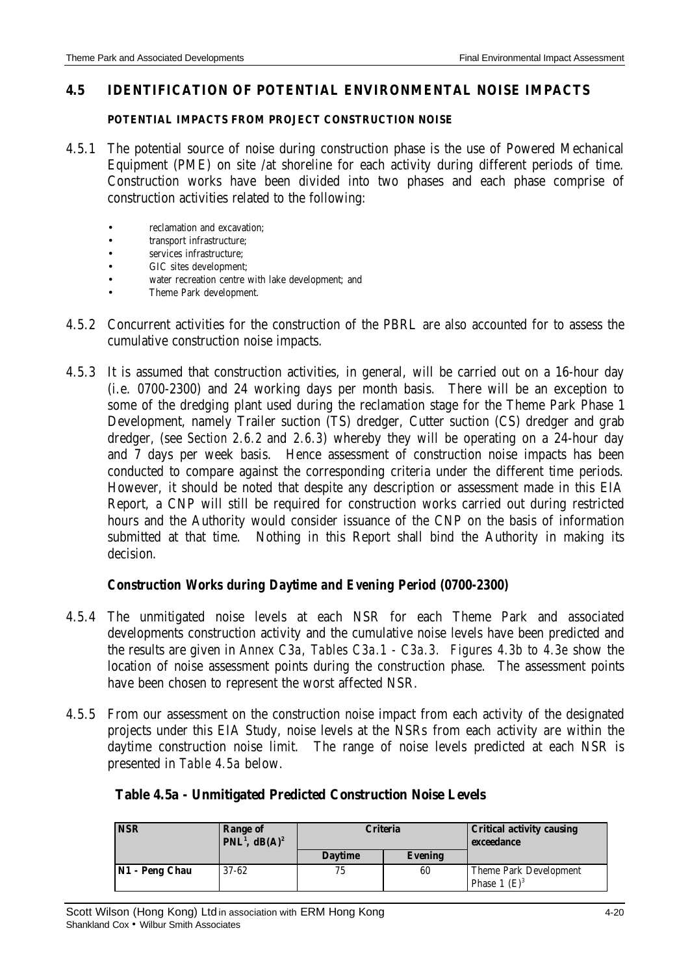#### **4.5 IDENTIFICATION OF POTENTIAL ENVIRONMENTAL NOISE IMPACTS**

#### **POTENTIAL IMPACTS FROM PROJECT CONSTRUCTION NOISE**

- 4.5.1 The potential source of noise during construction phase is the use of Powered Mechanical Equipment (PME) on site /at shoreline for each activity during different periods of time. Construction works have been divided into two phases and each phase comprise of construction activities related to the following:
	- reclamation and excavation;
	- transport infrastructure;
	- services infrastructure:
	- GIC sites development;
	- water recreation centre with lake development; and
	- Theme Park development.
- 4.5.2 Concurrent activities for the construction of the PBRL are also accounted for to assess the cumulative construction noise impacts.
- 4.5.3 It is assumed that construction activities, in general, will be carried out on a 16-hour day (i.e. 0700-2300) and 24 working days per month basis. There will be an exception to some of the dredging plant used during the reclamation stage for the Theme Park Phase 1 Development, namely Trailer suction (TS) dredger, Cutter suction (CS) dredger and grab dredger, (see *Section 2.6.2* and *2.6.3*) whereby they will be operating on a 24-hour day and 7 days per week basis. Hence assessment of construction noise impacts has been conducted to compare against the corresponding criteria under the different time periods. However, it should be noted that despite any description or assessment made in this EIA Report, a CNP will still be required for construction works carried out during restricted hours and the Authority would consider issuance of the CNP on the basis of information submitted at that time. Nothing in this Report shall bind the Authority in making its decision.

#### *Construction Works during Daytime and Evening Period (0700-2300)*

- 4.5.4 The unmitigated noise levels at each NSR for each Theme Park and associated developments construction activity and the cumulative noise levels have been predicted and the results are given in *Annex C3a, Tables C3a.1 - C3a.3*. *Figures 4.3b to 4.3e* show the location of noise assessment points during the construction phase. The assessment points have been chosen to represent the worst affected NSR.
- 4.5.5 From our assessment on the construction noise impact from each activity of the designated projects under this EIA Study, noise levels at the NSRs from each activity are within the daytime construction noise limit. The range of noise levels predicted at each NSR is presented in *Table 4.5a* below.

| Table 4.5a - Unmitigated Predicted Construction Noise Levels |
|--------------------------------------------------------------|
|--------------------------------------------------------------|

| <b>NSR</b>     | Range of<br>PNL <sup>1</sup> , dB(A) <sup>2</sup> | Criteria       |                | <b>Critical activity causing</b><br>exceedance |
|----------------|---------------------------------------------------|----------------|----------------|------------------------------------------------|
|                |                                                   | <b>Daytime</b> | <b>Evening</b> |                                                |
| N1 - Peng Chau | $37 - 62$                                         | 75             | 60             | Theme Park Development                         |
|                |                                                   |                |                | Phase 1 $(E)^3$                                |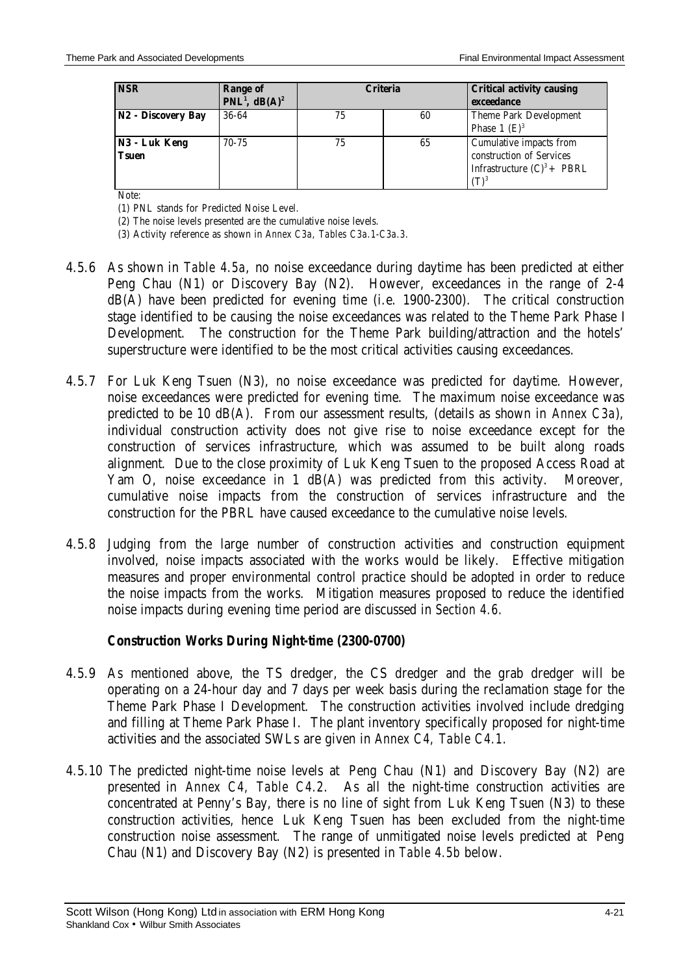| <b>NSR</b>                    | Range of<br>$PNL1$ , dB(A) <sup>2</sup> | <b>Criteria</b> |    | <b>Critical activity causing</b><br>exceedance                                                  |
|-------------------------------|-----------------------------------------|-----------------|----|-------------------------------------------------------------------------------------------------|
| N2 - Discovery Bay            | 36-64                                   | 75              | 60 | Theme Park Development<br>Phase 1 $(E)^3$                                                       |
| N3 - Luk Keng<br><b>Tsuen</b> | $70 - 75$                               | 75              | 65 | Cumulative impacts from<br>construction of Services<br>Infrastructure $(C)^3$ + PBRL<br>$(T)^3$ |

Note:

(1) PNL stands for Predicted Noise Level.

(2) The noise levels presented are the cumulative noise levels.

(3) Activity reference as shown in *Annex C3a, Tables C3a.1-C3a.3*.

- 4.5.6 As shown in *Table 4.5a*, no noise exceedance during daytime has been predicted at either Peng Chau (N1) or Discovery Bay (N2). However, exceedances in the range of 2-4 dB(A) have been predicted for evening time (i.e. 1900-2300). The critical construction stage identified to be causing the noise exceedances was related to the Theme Park Phase I Development. The construction for the Theme Park building/attraction and the hotels' superstructure were identified to be the most critical activities causing exceedances.
- 4.5.7 For Luk Keng Tsuen (N3), no noise exceedance was predicted for daytime. However, noise exceedances were predicted for evening time. The maximum noise exceedance was predicted to be 10 dB(A). From our assessment results, (details as shown in *Annex C3a*), individual construction activity does not give rise to noise exceedance except for the construction of services infrastructure, which was assumed to be built along roads alignment. Due to the close proximity of Luk Keng Tsuen to the proposed Access Road at Yam O, noise exceedance in 1 dB(A) was predicted from this activity. Moreover, cumulative noise impacts from the construction of services infrastructure and the construction for the PBRL have caused exceedance to the cumulative noise levels.
- 4.5.8 Judging from the large number of construction activities and construction equipment involved, noise impacts associated with the works would be likely. Effective mitigation measures and proper environmental control practice should be adopted in order to reduce the noise impacts from the works. Mitigation measures proposed to reduce the identified noise impacts during evening time period are discussed in *Section 4.6*.

### *Construction Works During Night-time (2300-0700)*

- 4.5.9 As mentioned above, the TS dredger, the CS dredger and the grab dredger will be operating on a 24-hour day and 7 days per week basis during the reclamation stage for the Theme Park Phase I Development. The construction activities involved include dredging and filling at Theme Park Phase I. The plant inventory specifically proposed for night-time activities and the associated SWLs are given in *Annex C4, Table C4.1*.
- 4.5.10 The predicted night-time noise levels at Peng Chau (N1) and Discovery Bay (N2) are presented in *Annex C4, Table C4.2*. As all the night-time construction activities are concentrated at Penny's Bay, there is no line of sight from Luk Keng Tsuen (N3) to these construction activities, hence Luk Keng Tsuen has been excluded from the night-time construction noise assessment. The range of unmitigated noise levels predicted at Peng Chau (N1) and Discovery Bay (N2) is presented in *Table 4.5b* below.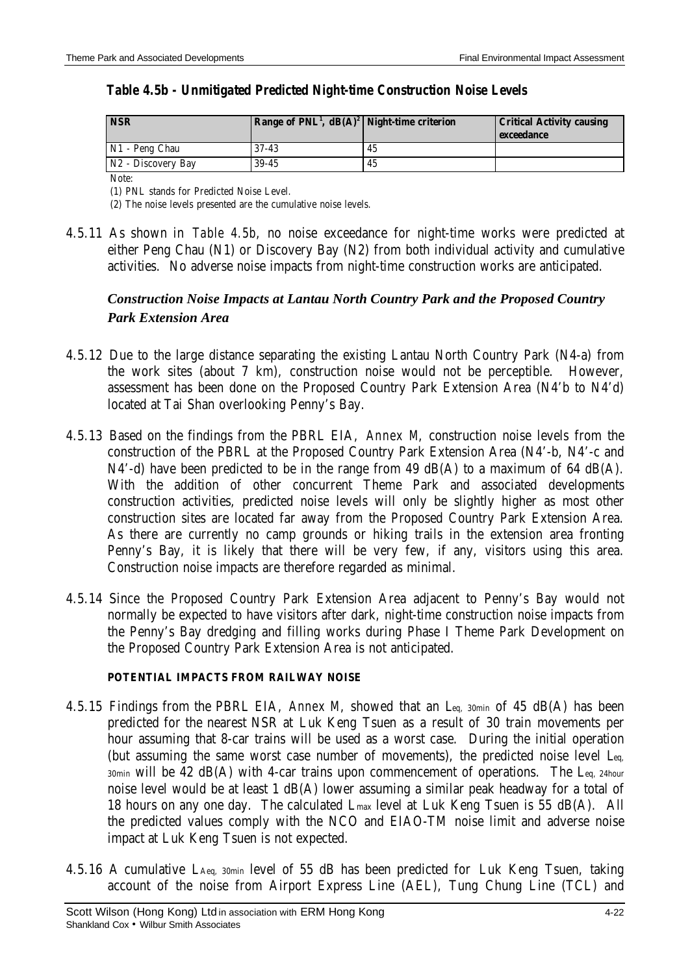| Table 4.5b - Unmitigated Predicted Night-time Construction Noise Levels |
|-------------------------------------------------------------------------|
|-------------------------------------------------------------------------|

| <b>NSR</b>         | Range of $PNL^1$ , $dB(A)^2$ Night-time criterion |    | <b>Critical Activity causing</b><br>exceedance |
|--------------------|---------------------------------------------------|----|------------------------------------------------|
| N1 - Peng Chau     | $37 - 43$                                         | 45 |                                                |
| N2 - Discovery Bay | $39-45$                                           | 45 |                                                |

Note:

(1) PNL stands for Predicted Noise Level.

(2) The noise levels presented are the cumulative noise levels.

4.5.11 As shown in *Table 4.5b*, no noise exceedance for night-time works were predicted at either Peng Chau (N1) or Discovery Bay (N2) from both individual activity and cumulative activities. No adverse noise impacts from night-time construction works are anticipated.

# *Construction Noise Impacts at Lantau North Country Park and the Proposed Country Park Extension Area*

- 4.5.12 Due to the large distance separating the existing Lantau North Country Park (N4-a) from the work sites (about 7 km), construction noise would not be perceptible. However, assessment has been done on the Proposed Country Park Extension Area (N4'b to N4'd) located at Tai Shan overlooking Penny's Bay.
- 4.5.13 Based on the findings from the PBRL EIA, *Annex M*, construction noise levels from the construction of the PBRL at the Proposed Country Park Extension Area (N4'-b, N4'-c and N4'-d) have been predicted to be in the range from 49 dB(A) to a maximum of 64 dB(A). With the addition of other concurrent Theme Park and associated developments construction activities, predicted noise levels will only be slightly higher as most other construction sites are located far away from the Proposed Country Park Extension Area. As there are currently no camp grounds or hiking trails in the extension area fronting Penny's Bay, it is likely that there will be very few, if any, visitors using this area. Construction noise impacts are therefore regarded as minimal.
- 4.5.14 Since the Proposed Country Park Extension Area adjacent to Penny's Bay would not normally be expected to have visitors after dark, night-time construction noise impacts from the Penny's Bay dredging and filling works during Phase I Theme Park Development on the Proposed Country Park Extension Area is not anticipated.

#### **POTENTIAL IMPACTS FROM RAILWAY NOISE**

- 4.5.15 Findings from the PBRL EIA, *Annex M*, showed that an Leq, 30min of 45 dB(A) has been predicted for the nearest NSR at Luk Keng Tsuen as a result of 30 train movements per hour assuming that 8-car trains will be used as a worst case. During the initial operation (but assuming the same worst case number of movements), the predicted noise level Leq,  $30$ min will be 42 dB(A) with 4-car trains upon commencement of operations. The Leq, 24hour noise level would be at least 1 dB(A) lower assuming a similar peak headway for a total of 18 hours on any one day. The calculated Lmax level at Luk Keng Tsuen is 55 dB(A). All the predicted values comply with the NCO and EIAO-TM noise limit and adverse noise impact at Luk Keng Tsuen is not expected.
- 4.5.16 A cumulative LAeq, 30min level of 55 dB has been predicted for Luk Keng Tsuen, taking account of the noise from Airport Express Line (AEL), Tung Chung Line (TCL) and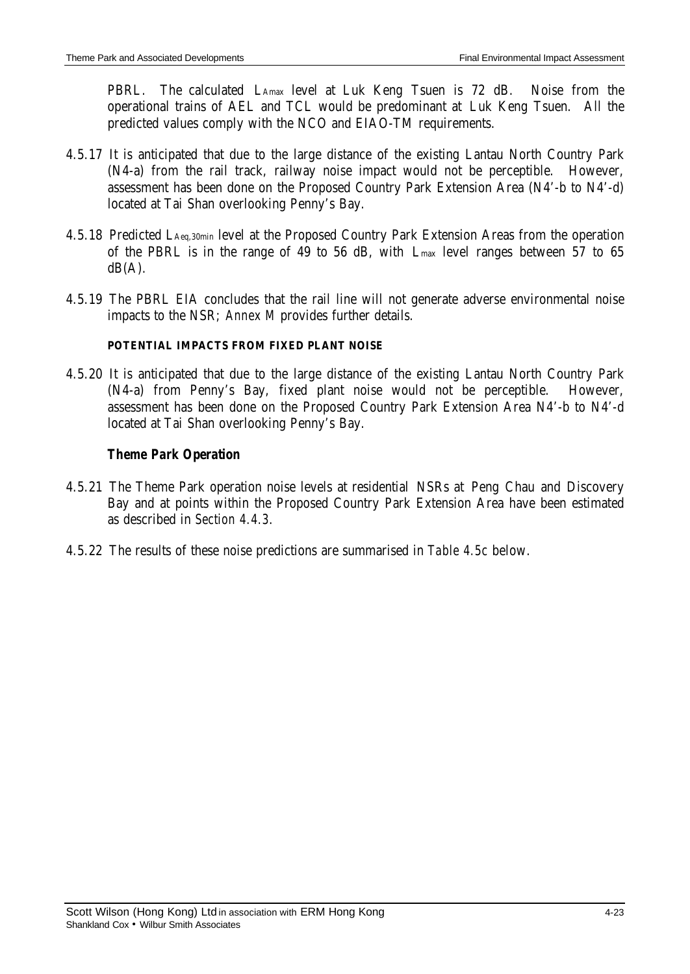PBRL. The calculated LAmax level at Luk Keng Tsuen is 72 dB. Noise from the operational trains of AEL and TCL would be predominant at Luk Keng Tsuen. All the predicted values comply with the NCO and EIAO-TM requirements.

- 4.5.17 It is anticipated that due to the large distance of the existing Lantau North Country Park (N4-a) from the rail track, railway noise impact would not be perceptible. However, assessment has been done on the Proposed Country Park Extension Area (N4'-b to N4'-d) located at Tai Shan overlooking Penny's Bay.
- 4.5.18 Predicted LAeq,30min level at the Proposed Country Park Extension Areas from the operation of the PBRL is in the range of 49 to 56 dB, with Lmax level ranges between 57 to 65  $dB(A)$ .
- 4.5.19 The PBRL EIA concludes that the rail line will not generate adverse environmental noise impacts to the NSR; *Annex M* provides further details.

#### **POTENTIAL IMPACTS FROM FIXED PLANT NOISE**

4.5.20 It is anticipated that due to the large distance of the existing Lantau North Country Park (N4-a) from Penny's Bay, fixed plant noise would not be perceptible. However, assessment has been done on the Proposed Country Park Extension Area N4'-b to N4'-d located at Tai Shan overlooking Penny's Bay.

### *Theme Park Operation*

- 4.5.21 The Theme Park operation noise levels at residential NSRs at Peng Chau and Discovery Bay and at points within the Proposed Country Park Extension Area have been estimated as described in *Section 4.4.3*.
- 4.5.22 The results of these noise predictions are summarised in *Table 4.5c* below.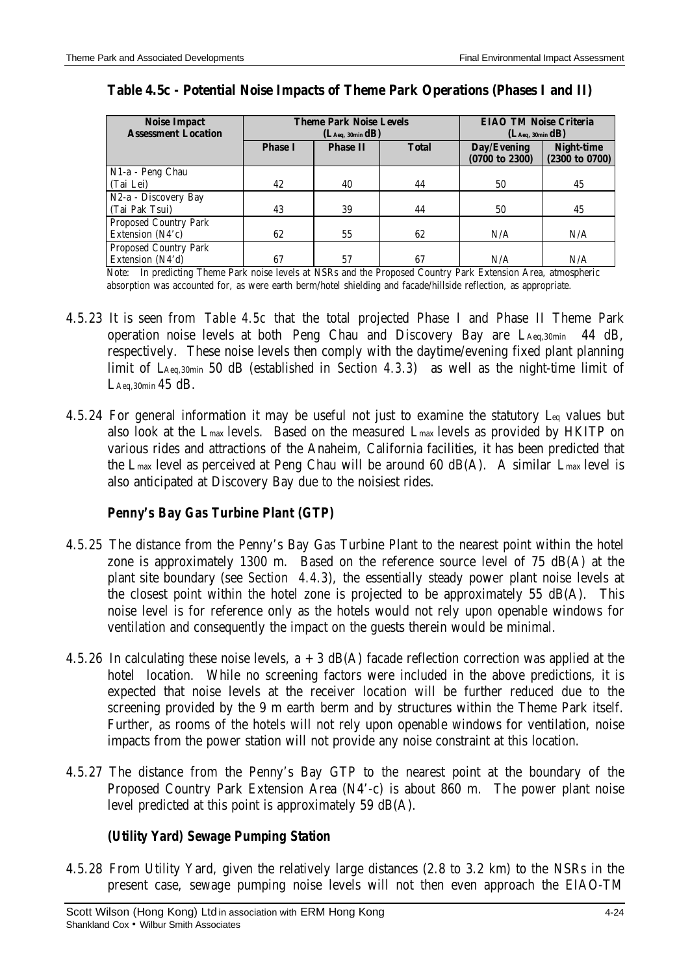| <b>Noise Impact</b>          | <b>Theme Park Noise Levels</b> |                               |              | <b>EIAO TM Noise Criteria</b> |                                     |
|------------------------------|--------------------------------|-------------------------------|--------------|-------------------------------|-------------------------------------|
| <b>Assessment Location</b>   |                                | (L <sub>Aeq</sub> , 30min dB) |              | (L <sub>Aeq</sub> , 30min dB) |                                     |
|                              | <b>Phase I</b>                 | <b>Phase II</b>               | <b>Total</b> | Day/Evening<br>(0700 to 2300) | <b>Night-time</b><br>(2300 to 0700) |
| N1-a - Peng Chau             |                                |                               |              |                               |                                     |
| (Tai Lei)                    | 42                             | 40                            | 44           | 50                            | 45                                  |
| N2-a - Discovery Bay         |                                |                               |              |                               |                                     |
| (Tai Pak Tsui)               | 43                             | 39                            | 44           | 50                            | 45                                  |
| <b>Proposed Country Park</b> |                                |                               |              |                               |                                     |
| Extension (N4'c)             | 62                             | 55                            | 62           | N/A                           | N/A                                 |
| Proposed Country Park        |                                |                               |              |                               |                                     |
| Extension (N4'd)             | 67                             | 57                            | 67           | N/A                           | N/A                                 |

#### **Table 4.5c - Potential Noise Impacts of Theme Park Operations (Phases I and II)**

Note: In predicting Theme Park noise levels at NSRs and the Proposed Country Park Extension Area, atmospheric absorption was accounted for, as were earth berm/hotel shielding and facade/hillside reflection, as appropriate.

- 4.5.23 It is seen from *Table 4.5c* that the total projected Phase I and Phase II Theme Park operation noise levels at both Peng Chau and Discovery Bay are LAeq,30min 44 dB, respectively. These noise levels then comply with the daytime/evening fixed plant planning limit of LAeq,30min 50 dB (established in *Section 4.3.3*) as well as the night-time limit of LAeq,  $30$ min  $45$  dB.
- 4.5.24 For general information it may be useful not just to examine the statutory Leq values but also look at the Lmax levels. Based on the measured Lmax levels as provided by HKITP on various rides and attractions of the Anaheim, California facilities, it has been predicted that the Lmax level as perceived at Peng Chau will be around 60 dB(A). A similar Lmax level is also anticipated at Discovery Bay due to the noisiest rides.

### *Penny's Bay Gas Turbine Plant (GTP)*

- 4.5.25 The distance from the Penny's Bay Gas Turbine Plant to the nearest point within the hotel zone is approximately 1300 m. Based on the reference source level of 75 dB(A) at the plant site boundary (see *Section 4.4.3*), the essentially steady power plant noise levels at the closest point within the hotel zone is projected to be approximately 55 dB(A). This noise level is for reference only as the hotels would not rely upon openable windows for ventilation and consequently the impact on the guests therein would be minimal.
- 4.5.26 In calculating these noise levels,  $a + 3$  dB(A) facade reflection correction was applied at the hotel location. While no screening factors were included in the above predictions, it is expected that noise levels at the receiver location will be further reduced due to the screening provided by the 9 m earth berm and by structures within the Theme Park itself. Further, as rooms of the hotels will not rely upon openable windows for ventilation, noise impacts from the power station will not provide any noise constraint at this location.
- 4.5.27 The distance from the Penny's Bay GTP to the nearest point at the boundary of the Proposed Country Park Extension Area (N4'-c) is about 860 m. The power plant noise level predicted at this point is approximately 59 dB(A).

### *(Utility Yard) Sewage Pumping Station*

4.5.28 From Utility Yard, given the relatively large distances (2.8 to 3.2 km) to the NSRs in the present case, sewage pumping noise levels will not then even approach the EIAO-TM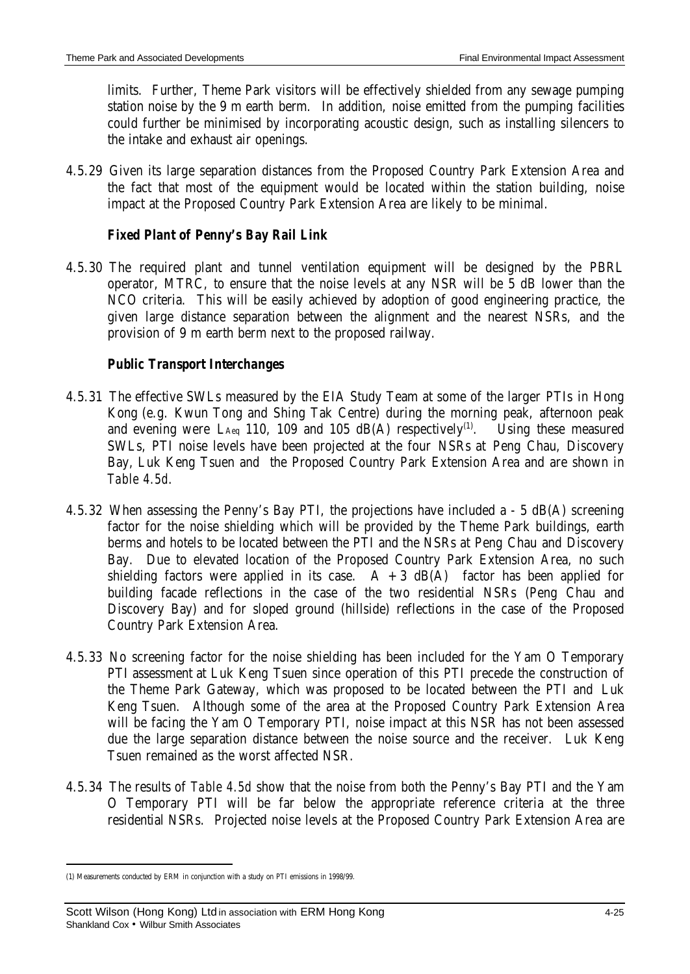limits. Further, Theme Park visitors will be effectively shielded from any sewage pumping station noise by the 9 m earth berm. In addition, noise emitted from the pumping facilities could further be minimised by incorporating acoustic design, such as installing silencers to the intake and exhaust air openings.

4.5.29 Given its large separation distances from the Proposed Country Park Extension Area and the fact that most of the equipment would be located within the station building, noise impact at the Proposed Country Park Extension Area are likely to be minimal.

# *Fixed Plant of Penny's Bay Rail Link*

4.5.30 The required plant and tunnel ventilation equipment will be designed by the PBRL operator, MTRC, to ensure that the noise levels at any NSR will be 5 dB lower than the NCO criteria. This will be easily achieved by adoption of good engineering practice, the given large distance separation between the alignment and the nearest NSRs, and the provision of 9 m earth berm next to the proposed railway.

# *Public Transport Interchanges*

- 4.5.31 The effective SWLs measured by the EIA Study Team at some of the larger PTIs in Hong Kong (e.g. Kwun Tong and Shing Tak Centre) during the morning peak, afternoon peak and evening were L<sub>Aeq</sub> 110, 109 and 105 dB(A) respectively<sup>(1)</sup>. . Using these measured SWLs, PTI noise levels have been projected at the four NSRs at Peng Chau, Discovery Bay, Luk Keng Tsuen and the Proposed Country Park Extension Area and are shown in *Table 4.5d*.
- 4.5.32 When assessing the Penny's Bay PTI, the projections have included a 5 dB(A) screening factor for the noise shielding which will be provided by the Theme Park buildings, earth berms and hotels to be located between the PTI and the NSRs at Peng Chau and Discovery Bay. Due to elevated location of the Proposed Country Park Extension Area, no such shielding factors were applied in its case.  $A + 3$  dB(A) factor has been applied for building facade reflections in the case of the two residential NSRs (Peng Chau and Discovery Bay) and for sloped ground (hillside) reflections in the case of the Proposed Country Park Extension Area.
- 4.5.33 No screening factor for the noise shielding has been included for the Yam O Temporary PTI assessment at Luk Keng Tsuen since operation of this PTI precede the construction of the Theme Park Gateway, which was proposed to be located between the PTI and Luk Keng Tsuen. Although some of the area at the Proposed Country Park Extension Area will be facing the Yam O Temporary PTI, noise impact at this NSR has not been assessed due the large separation distance between the noise source and the receiver. Luk Keng Tsuen remained as the worst affected NSR.
- 4.5.34 The results of *Table 4.5d* show that the noise from both the Penny's Bay PTI and the Yam O Temporary PTI will be far below the appropriate reference criteria at the three residential NSRs. Projected noise levels at the Proposed Country Park Extension Area are

 $\overline{a}$ 

<sup>(1)</sup> Measurements conducted by ERM in conjunction with a study on PTI emissions in 1998/99.

Scott Wilson (Hong Kong) Ltd in association with ERM Hong Kong **Fig. 10.13 and 125** 4-25 Shankland Cox • Wilbur Smith Associates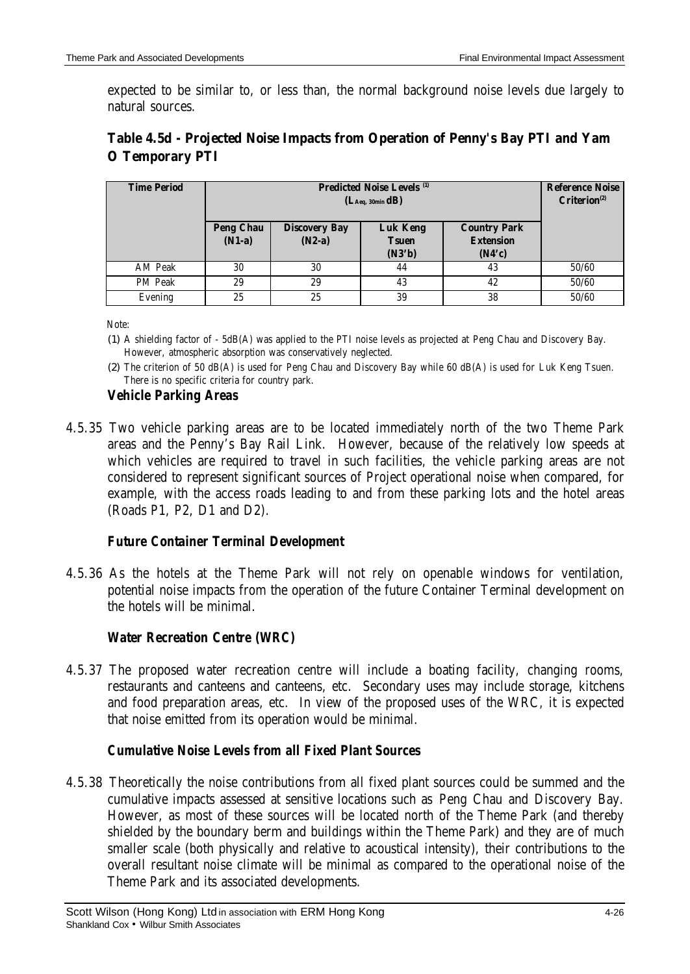expected to be similar to, or less than, the normal background noise levels due largely to natural sources.

| <b>Time Period</b> | <b>Predicted Noise Levels (1)</b><br>(L <sub>Aeq</sub> , 30min dB) |                                  |                                           | <b>Reference Noise</b><br>$Criterion^{(2)}$       |       |
|--------------------|--------------------------------------------------------------------|----------------------------------|-------------------------------------------|---------------------------------------------------|-------|
|                    | <b>Peng Chau</b><br>$(N1-a)$                                       | <b>Discovery Bay</b><br>$(N2-a)$ | <b>Luk Keng</b><br><b>Tsuen</b><br>(N3'b) | <b>Country Park</b><br><b>Extension</b><br>(N4'c) |       |
| AM Peak            | 30                                                                 | 30                               | 44                                        | 43                                                | 50/60 |
| PM Peak            | 29                                                                 | 29                               | 43                                        | 42                                                | 50/60 |
| Evening            | 25                                                                 | 25                               | 39                                        | 38                                                | 50/60 |

# **Table 4.5d - Projected Noise Impacts from Operation of Penny's Bay PTI and Yam O Temporary PTI**

Note:

- (1) A shielding factor of 5dB(A) was applied to the PTI noise levels as projected at Peng Chau and Discovery Bay. However, atmospheric absorption was conservatively neglected.
- (2) The criterion of 50 dB(A) is used for Peng Chau and Discovery Bay while 60 dB(A) is used for Luk Keng Tsuen. There is no specific criteria for country park.

# *Vehicle Parking Areas*

4.5.35 Two vehicle parking areas are to be located immediately north of the two Theme Park areas and the Penny's Bay Rail Link. However, because of the relatively low speeds at which vehicles are required to travel in such facilities, the vehicle parking areas are not considered to represent significant sources of Project operational noise when compared, for example, with the access roads leading to and from these parking lots and the hotel areas (Roads P1, P2, D1 and D2).

# *Future Container Terminal Development*

4.5.36 As the hotels at the Theme Park will not rely on openable windows for ventilation, potential noise impacts from the operation of the future Container Terminal development on the hotels will be minimal.

# *Water Recreation Centre (WRC)*

4.5.37 The proposed water recreation centre will include a boating facility, changing rooms, restaurants and canteens and canteens, etc. Secondary uses may include storage, kitchens and food preparation areas, etc. In view of the proposed uses of the WRC, it is expected that noise emitted from its operation would be minimal.

# *Cumulative Noise Levels from all Fixed Plant Sources*

4.5.38 Theoretically the noise contributions from all fixed plant sources could be summed and the cumulative impacts assessed at sensitive locations such as Peng Chau and Discovery Bay. However, as most of these sources will be located north of the Theme Park (and thereby shielded by the boundary berm and buildings within the Theme Park) and they are of much smaller scale (both physically and relative to acoustical intensity), their contributions to the overall resultant noise climate will be minimal as compared to the operational noise of the Theme Park and its associated developments.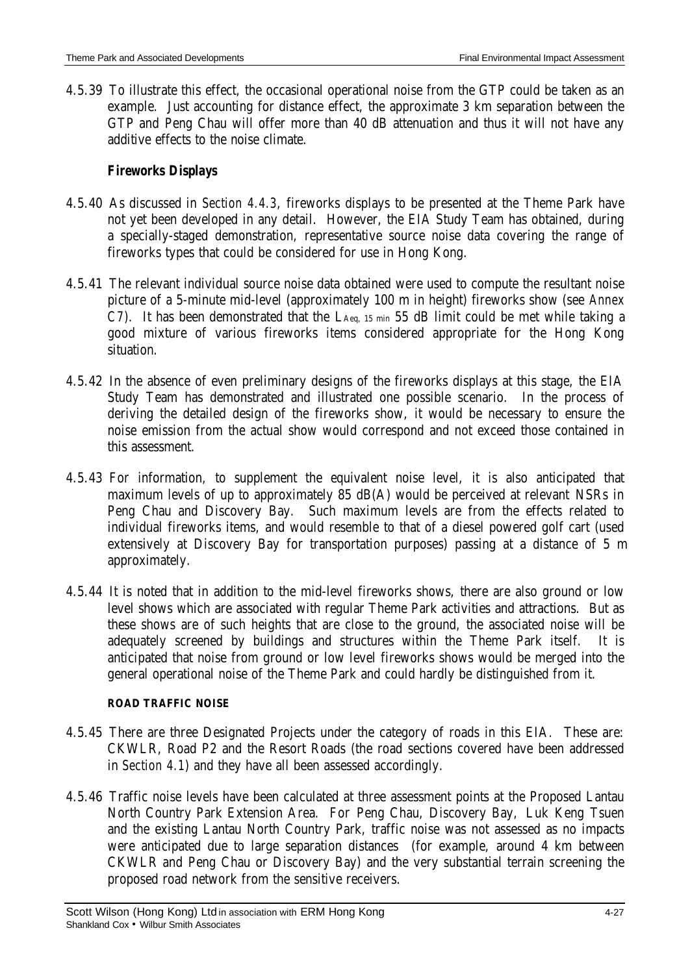4.5.39 To illustrate this effect, the occasional operational noise from the GTP could be taken as an example. Just accounting for distance effect, the approximate 3 km separation between the GTP and Peng Chau will offer more than 40 dB attenuation and thus it will not have any additive effects to the noise climate.

# *Fireworks Displays*

- 4.5.40 As discussed in *Section 4.4.3*, fireworks displays to be presented at the Theme Park have not yet been developed in any detail. However, the EIA Study Team has obtained, during a specially-staged demonstration, representative source noise data covering the range of fireworks types that could be considered for use in Hong Kong.
- 4.5.41 The relevant individual source noise data obtained were used to compute the resultant noise picture of a 5-minute mid-level (approximately 100 m in height) fireworks show (see *Annex C7*). It has been demonstrated that the LAeq, 15 min 55 dB limit could be met while taking a good mixture of various fireworks items considered appropriate for the Hong Kong situation.
- 4.5.42 In the absence of even preliminary designs of the fireworks displays at this stage, the EIA Study Team has demonstrated and illustrated one possible scenario. In the process of deriving the detailed design of the fireworks show, it would be necessary to ensure the noise emission from the actual show would correspond and not exceed those contained in this assessment.
- 4.5.43 For information, to supplement the equivalent noise level, it is also anticipated that maximum levels of up to approximately 85 dB(A) would be perceived at relevant NSRs in Peng Chau and Discovery Bay. Such maximum levels are from the effects related to individual fireworks items, and would resemble to that of a diesel powered golf cart (used extensively at Discovery Bay for transportation purposes) passing at a distance of 5 m approximately.
- 4.5.44 It is noted that in addition to the mid-level fireworks shows, there are also ground or low level shows which are associated with regular Theme Park activities and attractions. But as these shows are of such heights that are close to the ground, the associated noise will be adequately screened by buildings and structures within the Theme Park itself. It is anticipated that noise from ground or low level fireworks shows would be merged into the general operational noise of the Theme Park and could hardly be distinguished from it.

#### **ROAD TRAFFIC NOISE**

- 4.5.45 There are three Designated Projects under the category of roads in this EIA. These are: CKWLR, Road P2 and the Resort Roads (the road sections covered have been addressed in *Section 4.1*) and they have all been assessed accordingly.
- 4.5.46 Traffic noise levels have been calculated at three assessment points at the Proposed Lantau North Country Park Extension Area. For Peng Chau, Discovery Bay, Luk Keng Tsuen and the existing Lantau North Country Park, traffic noise was not assessed as no impacts were anticipated due to large separation distances (for example, around 4 km between CKWLR and Peng Chau or Discovery Bay) and the very substantial terrain screening the proposed road network from the sensitive receivers.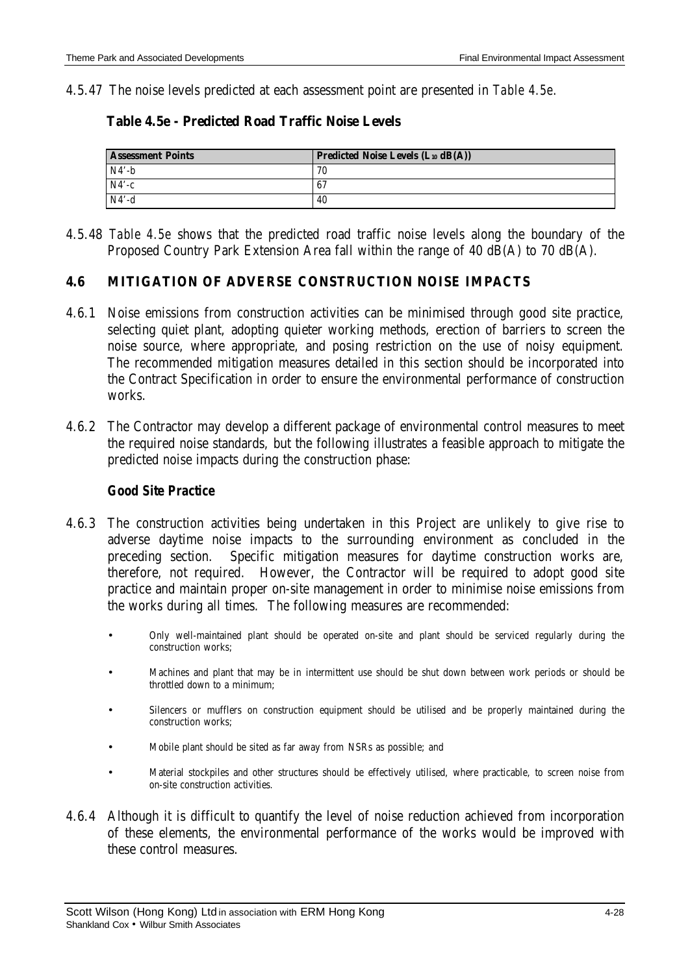4.5.47 The noise levels predicted at each assessment point are presented in *Table 4.5e*.

| Table 4.5e - Predicted Road Traffic Noise Levels |  |
|--------------------------------------------------|--|
|--------------------------------------------------|--|

| <b>Assessment Points</b> | <b>Predicted Noise Levels (L10 dB(A))</b> |
|--------------------------|-------------------------------------------|
| $N4' - h$                | 70                                        |
| $N4'-c$                  | -67                                       |
| $N4'-d$                  | 40                                        |

4.5.48 *Table 4.5e* shows that the predicted road traffic noise levels along the boundary of the Proposed Country Park Extension Area fall within the range of 40 dB(A) to 70 dB(A).

#### **4.6 MITIGATION OF ADVERSE CONSTRUCTION NOISE IMPACTS**

- 4.6.1 Noise emissions from construction activities can be minimised through good site practice, selecting quiet plant, adopting quieter working methods, erection of barriers to screen the noise source, where appropriate, and posing restriction on the use of noisy equipment. The recommended mitigation measures detailed in this section should be incorporated into the Contract Specification in order to ensure the environmental performance of construction works.
- 4.6.2 The Contractor may develop a different package of environmental control measures to meet the required noise standards, but the following illustrates a feasible approach to mitigate the predicted noise impacts during the construction phase:

#### *Good Site Practice*

- 4.6.3 The construction activities being undertaken in this Project are unlikely to give rise to adverse daytime noise impacts to the surrounding environment as concluded in the preceding section. Specific mitigation measures for daytime construction works are, therefore, not required. However, the Contractor will be required to adopt good site practice and maintain proper on-site management in order to minimise noise emissions from the works during all times. The following measures are recommended:
	- Only well-maintained plant should be operated on-site and plant should be serviced regularly during the construction works;
	- Machines and plant that may be in intermittent use should be shut down between work periods or should be throttled down to a minimum;
	- Silencers or mufflers on construction equipment should be utilised and be properly maintained during the construction works;
	- Mobile plant should be sited as far away from NSRs as possible; and
	- Material stockpiles and other structures should be effectively utilised, where practicable, to screen noise from on-site construction activities.
- 4.6.4 Although it is difficult to quantify the level of noise reduction achieved from incorporation of these elements, the environmental performance of the works would be improved with these control measures.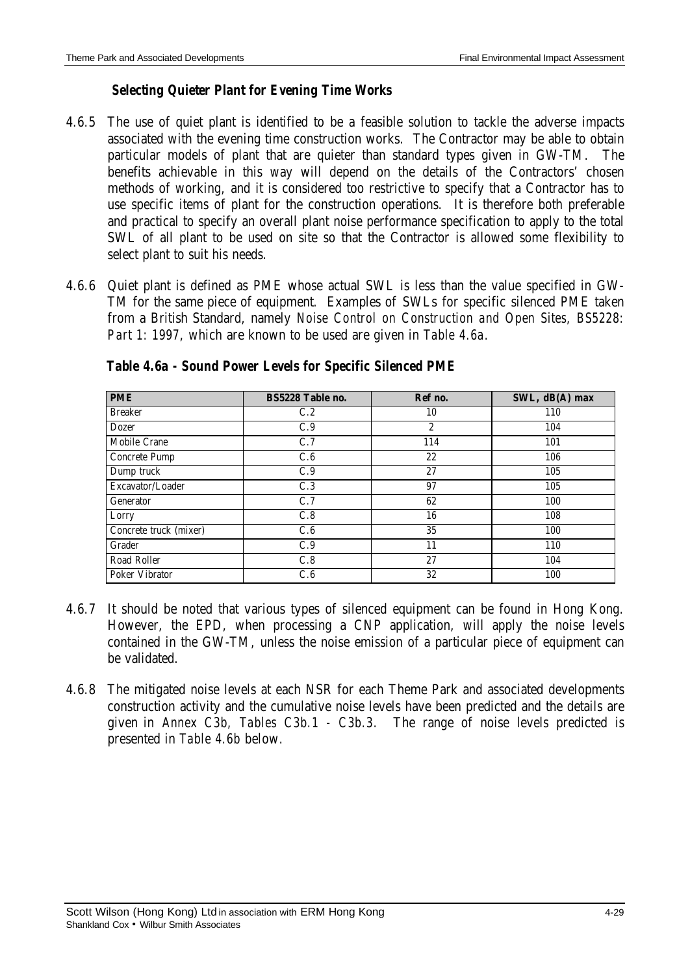#### *Selecting Quieter Plant for Evening Time Works*

- 4.6.5 The use of quiet plant is identified to be a feasible solution to tackle the adverse impacts associated with the evening time construction works. The Contractor may be able to obtain particular models of plant that are quieter than standard types given in GW-TM. The benefits achievable in this way will depend on the details of the Contractors' chosen methods of working, and it is considered too restrictive to specify that a Contractor has to use specific items of plant for the construction operations. It is therefore both preferable and practical to specify an overall plant noise performance specification to apply to the total SWL of all plant to be used on site so that the Contractor is allowed some flexibility to select plant to suit his needs.
- 4.6.6 Quiet plant is defined as PME whose actual SWL is less than the value specified in GW-TM for the same piece of equipment. Examples of SWLs for specific silenced PME taken from a British Standard, namely *Noise Control on Construction and Open Sites, BS5228: Part 1: 1997*, which are known to be used are given in *Table 4.6a*.

| <b>PME</b>             | BS5228 Table no. | Ref no.          | SWL, dB(A) max |
|------------------------|------------------|------------------|----------------|
| <b>Breaker</b>         | C.2              | 10               | 110            |
| <b>Dozer</b>           | C.9              | $\boldsymbol{2}$ | 104            |
| Mobile Crane           | C.7              | 114              | 101            |
| Concrete Pump          | C.6              | 22               | 106            |
| Dump truck             | C.9              | 27               | 105            |
| Excavator/Loader       | C.3              | 97               | 105            |
| Generator              | C.7              | 62               | 100            |
| Lorry                  | C.8              | 16               | 108            |
| Concrete truck (mixer) | C.6              | 35               | 100            |
| Grader                 | C.9              | 11               | 110            |
| Road Roller            | C.8              | 27               | 104            |
| <b>Poker Vibrator</b>  | C.6              | 32               | 100            |

*Table 4.6a - Sound Power Levels for Specific Silenced PME*

- 4.6.7 It should be noted that various types of silenced equipment can be found in Hong Kong. However, the EPD, when processing a CNP application, will apply the noise levels contained in the GW-TM, unless the noise emission of a particular piece of equipment can be validated.
- 4.6.8 The mitigated noise levels at each NSR for each Theme Park and associated developments construction activity and the cumulative noise levels have been predicted and the details are given in *Annex C3b, Tables C3b.1 - C3b.3*. The range of noise levels predicted is presented in *Table 4.6b* below.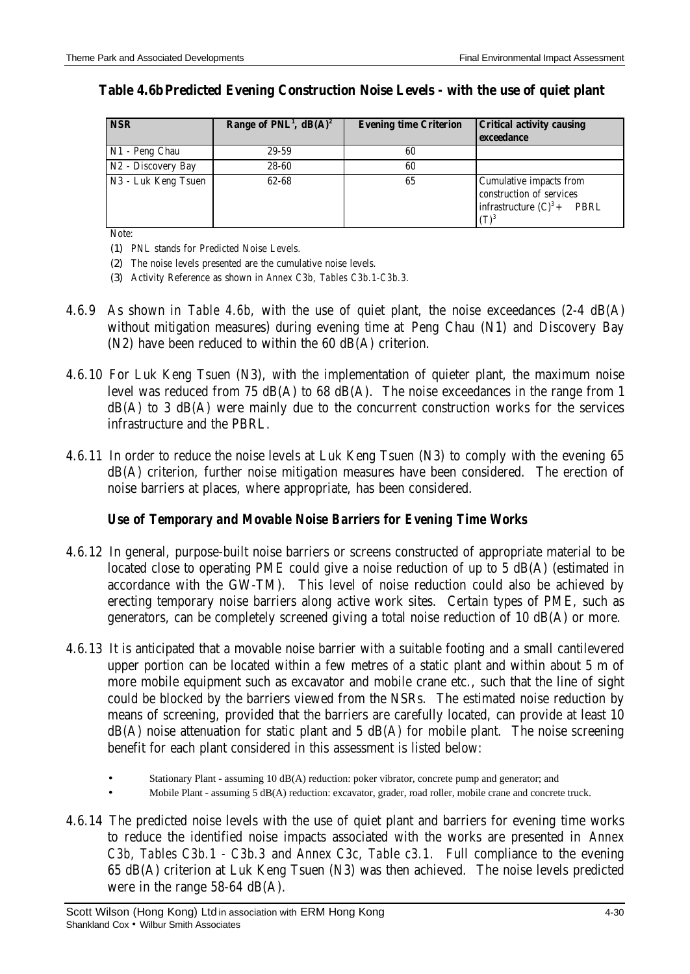| <b>NSR</b>          | Range of $PNL1$ , dB(A) <sup>2</sup> | <b>Evening time Criterion</b> | <b>Critical activity causing</b><br>exceedance                                              |
|---------------------|--------------------------------------|-------------------------------|---------------------------------------------------------------------------------------------|
| N1 - Peng Chau      | 29-59                                | 60                            |                                                                                             |
| N2 - Discovery Bay  | 28-60                                | 60                            |                                                                                             |
| N3 - Luk Keng Tsuen | 62-68                                | 65                            | Cumulative impacts from<br>construction of services<br>infrastructure $(C)^3$ + PBRL<br>(ፐ) |

#### **Table 4.6bPredicted Evening Construction Noise Levels - with the use of quiet plant**

Note:

(1) PNL stands for Predicted Noise Levels.

(2) The noise levels presented are the cumulative noise levels.

(3) Activity Reference as shown in *Annex C3b, Tables C3b.1-C3b.3.*

- 4.6.9 As shown in *Table 4.6b,* with the use of quiet plant, the noise exceedances (2-4 dB(A) without mitigation measures) during evening time at Peng Chau (N1) and Discovery Bay (N2) have been reduced to within the 60 dB(A) criterion.
- 4.6.10 For Luk Keng Tsuen (N3), with the implementation of quieter plant, the maximum noise level was reduced from 75 dB(A) to 68 dB(A). The noise exceedances in the range from 1  $dB(A)$  to 3  $dB(A)$  were mainly due to the concurrent construction works for the services infrastructure and the PBRL.
- 4.6.11 In order to reduce the noise levels at Luk Keng Tsuen (N3) to comply with the evening 65 dB(A) criterion, further noise mitigation measures have been considered. The erection of noise barriers at places, where appropriate, has been considered.

### *Use of Temporary and Movable Noise Barriers for Evening Time Works*

- 4.6.12 In general, purpose-built noise barriers or screens constructed of appropriate material to be located close to operating PME could give a noise reduction of up to 5 dB(A) (estimated in accordance with the GW-TM). This level of noise reduction could also be achieved by erecting temporary noise barriers along active work sites. Certain types of PME, such as generators, can be completely screened giving a total noise reduction of 10 dB(A) or more.
- 4.6.13 It is anticipated that a movable noise barrier with a suitable footing and a small cantilevered upper portion can be located within a few metres of a static plant and within about 5 m of more mobile equipment such as excavator and mobile crane etc., such that the line of sight could be blocked by the barriers viewed from the NSRs. The estimated noise reduction by means of screening, provided that the barriers are carefully located, can provide at least 10  $dB(A)$  noise attenuation for static plant and 5  $dB(A)$  for mobile plant. The noise screening benefit for each plant considered in this assessment is listed below:
	- Stationary Plant assuming 10 dB(A) reduction: poker vibrator, concrete pump and generator; and
	- Mobile Plant assuming 5 dB(A) reduction: excavator, grader, road roller, mobile crane and concrete truck.
- 4.6.14 The predicted noise levels with the use of quiet plant and barriers for evening time works to reduce the identified noise impacts associated with the works are presented in *Annex C3b, Tables C3b.1 - C3b.3* and *Annex C3c, Table c3.1*. Full compliance to the evening 65 dB(A) criterion at Luk Keng Tsuen (N3) was then achieved. The noise levels predicted were in the range 58-64 dB(A).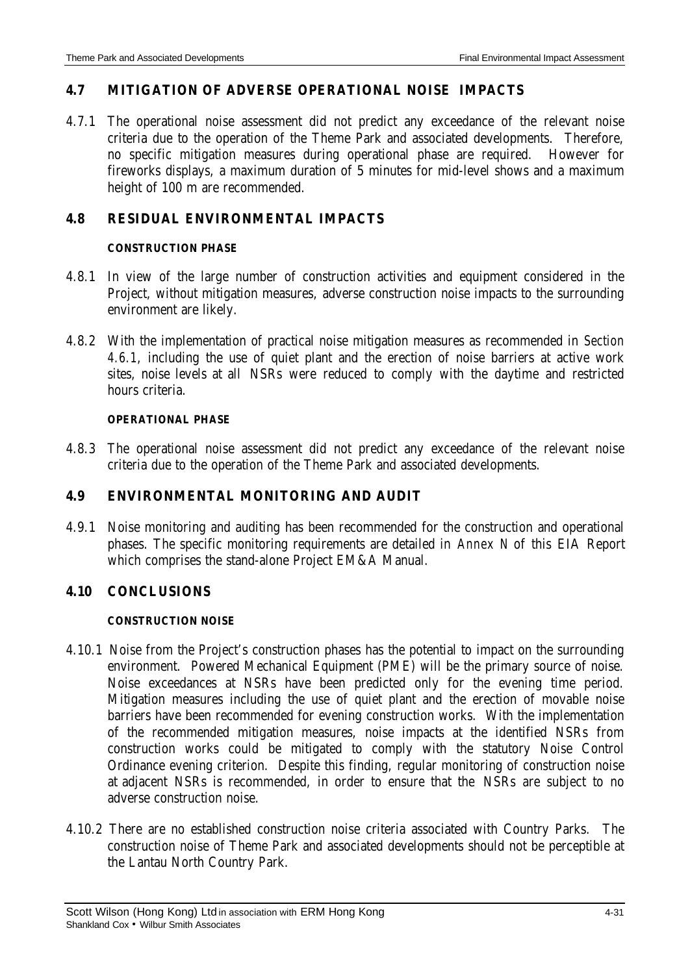### **4.7 MITIGATION OF ADVERSE OPERATIONAL NOISE IMPACTS**

4.7.1 The operational noise assessment did not predict any exceedance of the relevant noise criteria due to the operation of the Theme Park and associated developments. Therefore, no specific mitigation measures during operational phase are required. However for fireworks displays, a maximum duration of 5 minutes for mid-level shows and a maximum height of 100 m are recommended.

# **4.8 RESIDUAL ENVIRONMENTAL IMPACTS**

#### **CONSTRUCTION PHASE**

- 4.8.1 In view of the large number of construction activities and equipment considered in the Project, without mitigation measures, adverse construction noise impacts to the surrounding environment are likely.
- 4.8.2 With the implementation of practical noise mitigation measures as recommended in *Section 4.6.1*, including the use of quiet plant and the erection of noise barriers at active work sites, noise levels at all NSRs were reduced to comply with the daytime and restricted hours criteria.

#### **OPERATIONAL PHASE**

4.8.3 The operational noise assessment did not predict any exceedance of the relevant noise criteria due to the operation of the Theme Park and associated developments.

### **4.9 ENVIRONMENTAL MONITORING AND AUDIT**

4.9.1 Noise monitoring and auditing has been recommended for the construction and operational phases. The specific monitoring requirements are detailed in *Annex N* of this EIA Report which comprises the stand-alone Project EM&A Manual.

# **4.10 CONCLUSIONS**

### **CONSTRUCTION NOISE**

- 4.10.1 Noise from the Project's construction phases has the potential to impact on the surrounding environment. Powered Mechanical Equipment (PME) will be the primary source of noise. Noise exceedances at NSRs have been predicted only for the evening time period. Mitigation measures including the use of quiet plant and the erection of movable noise barriers have been recommended for evening construction works. With the implementation of the recommended mitigation measures, noise impacts at the identified NSRs from construction works could be mitigated to comply with the statutory Noise Control Ordinance evening criterion. Despite this finding, regular monitoring of construction noise at adjacent NSRs is recommended, in order to ensure that the NSRs are subject to no adverse construction noise.
- 4.10.2 There are no established construction noise criteria associated with Country Parks. The construction noise of Theme Park and associated developments should not be perceptible at the Lantau North Country Park.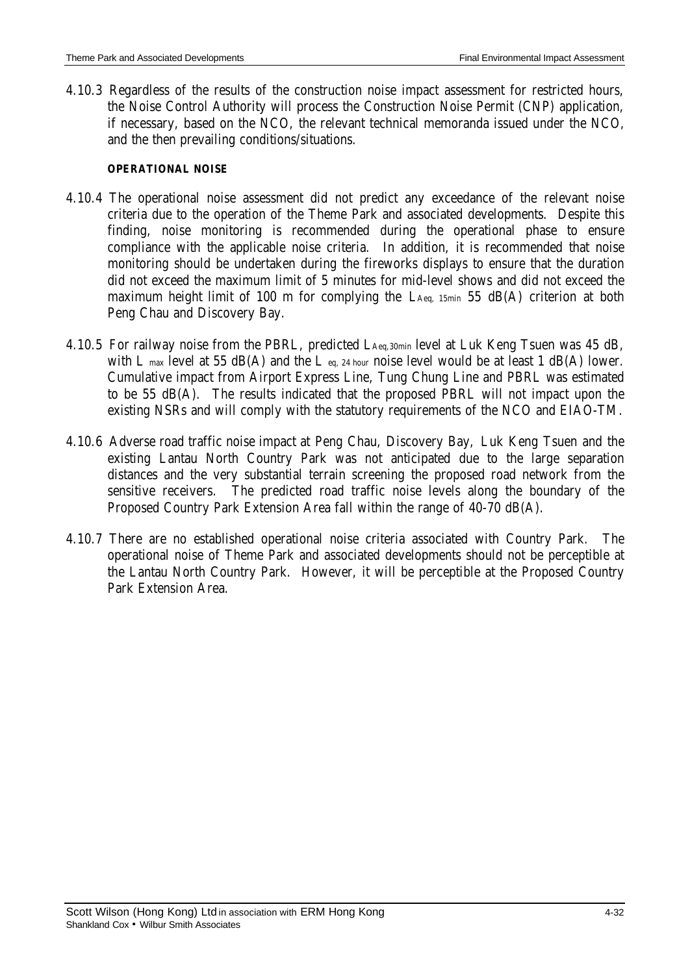4.10.3 Regardless of the results of the construction noise impact assessment for restricted hours, the Noise Control Authority will process the Construction Noise Permit (CNP) application, if necessary, based on the NCO, the relevant technical memoranda issued under the NCO, and the then prevailing conditions/situations.

#### **OPERATIONAL NOISE**

- 4.10.4 The operational noise assessment did not predict any exceedance of the relevant noise criteria due to the operation of the Theme Park and associated developments. Despite this finding, noise monitoring is recommended during the operational phase to ensure compliance with the applicable noise criteria. In addition, it is recommended that noise monitoring should be undertaken during the fireworks displays to ensure that the duration did not exceed the maximum limit of 5 minutes for mid-level shows and did not exceed the maximum height limit of 100 m for complying the LAeq, 15min 55 dB(A) criterion at both Peng Chau and Discovery Bay.
- 4.10.5 For railway noise from the PBRL, predicted LAeq,30min level at Luk Keng Tsuen was 45 dB, with L max level at 55 dB(A) and the L eq, 24 hour noise level would be at least 1 dB(A) lower. Cumulative impact from Airport Express Line, Tung Chung Line and PBRL was estimated to be 55 dB(A). The results indicated that the proposed PBRL will not impact upon the existing NSRs and will comply with the statutory requirements of the NCO and EIAO-TM.
- 4.10.6 Adverse road traffic noise impact at Peng Chau, Discovery Bay, Luk Keng Tsuen and the existing Lantau North Country Park was not anticipated due to the large separation distances and the very substantial terrain screening the proposed road network from the sensitive receivers. The predicted road traffic noise levels along the boundary of the Proposed Country Park Extension Area fall within the range of 40-70 dB(A).
- 4.10.7 There are no established operational noise criteria associated with Country Park. The operational noise of Theme Park and associated developments should not be perceptible at the Lantau North Country Park. However, it will be perceptible at the Proposed Country Park Extension Area.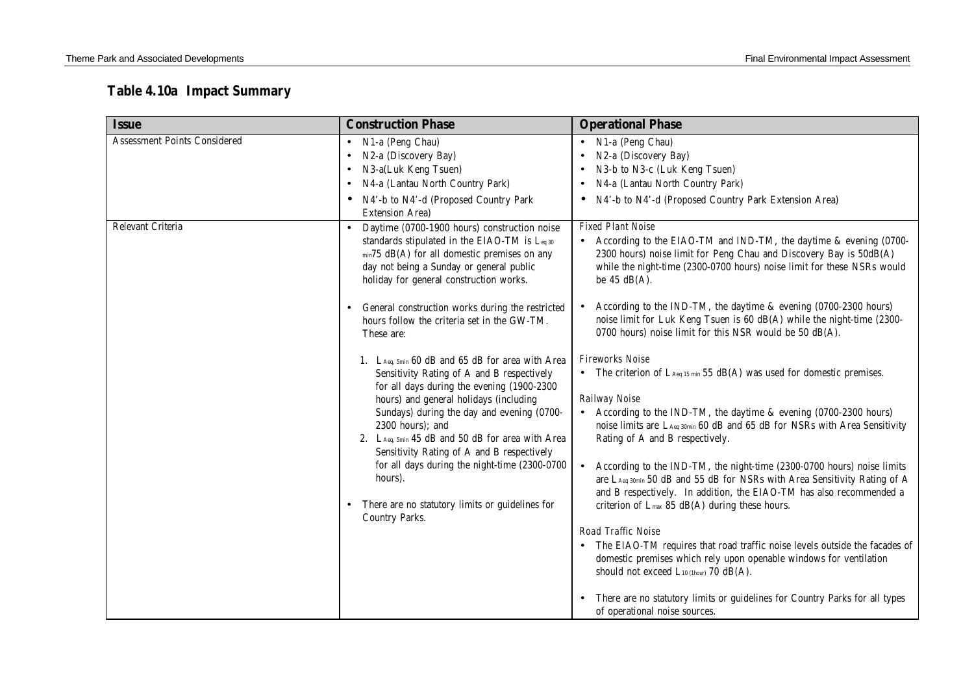# **Table 4.10a Impact Summary**

| <b>Issue</b>                                             | <b>Construction Phase</b>                                                                                                                                                                                                                                                                                                                                                                                                                                                                                                                                                                                                                                                                                                                                  | <b>Operational Phase</b>                                                                                                                                                                                                                                                                                                                                                                                                                                                                                                                                                                                                                                                                                                                                                                                                                                                                                                                                                                                                                                                                                                                                                                                                                                                                                                                     |
|----------------------------------------------------------|------------------------------------------------------------------------------------------------------------------------------------------------------------------------------------------------------------------------------------------------------------------------------------------------------------------------------------------------------------------------------------------------------------------------------------------------------------------------------------------------------------------------------------------------------------------------------------------------------------------------------------------------------------------------------------------------------------------------------------------------------------|----------------------------------------------------------------------------------------------------------------------------------------------------------------------------------------------------------------------------------------------------------------------------------------------------------------------------------------------------------------------------------------------------------------------------------------------------------------------------------------------------------------------------------------------------------------------------------------------------------------------------------------------------------------------------------------------------------------------------------------------------------------------------------------------------------------------------------------------------------------------------------------------------------------------------------------------------------------------------------------------------------------------------------------------------------------------------------------------------------------------------------------------------------------------------------------------------------------------------------------------------------------------------------------------------------------------------------------------|
| <b>Assessment Points Considered</b><br>Relevant Criteria | • N1-a (Peng Chau)<br>N2-a (Discovery Bay)<br>٠<br>N3-a(Luk Keng Tsuen)<br>٠<br>N4-a (Lantau North Country Park)<br>N4'-b to N4'-d (Proposed Country Park<br><b>Extension Area)</b><br>Daytime (0700-1900 hours) construction noise<br>standards stipulated in the EIAO-TM is Leq 30                                                                                                                                                                                                                                                                                                                                                                                                                                                                       | N1-a (Peng Chau)<br>N2-a (Discovery Bay)<br>$\bullet$<br>N3-b to N3-c (Luk Keng Tsuen)<br>N4-a (Lantau North Country Park)<br>$\bullet$<br>N4'-b to N4'-d (Proposed Country Park Extension Area)<br>$\bullet$<br><b>Fixed Plant Noise</b><br>• According to the EIAO-TM and IND-TM, the daytime & evening (0700-                                                                                                                                                                                                                                                                                                                                                                                                                                                                                                                                                                                                                                                                                                                                                                                                                                                                                                                                                                                                                             |
|                                                          | min75 dB(A) for all domestic premises on any<br>day not being a Sunday or general public<br>holiday for general construction works.<br>General construction works during the restricted<br>hours follow the criteria set in the GW-TM.<br>These are:<br>1. LAeq, 5min 60 dB and 65 dB for area with Area<br>Sensitivity Rating of A and B respectively<br>for all days during the evening (1900-2300<br>hours) and general holidays (including<br>Sundays) during the day and evening (0700-<br>2300 hours); and<br>2. LAeq, 5min 45 dB and 50 dB for area with Area<br>Sensitivity Rating of A and B respectively<br>for all days during the night-time (2300-0700<br>hours).<br>There are no statutory limits or guidelines for<br><b>Country Parks.</b> | 2300 hours) noise limit for Peng Chau and Discovery Bay is 50dB(A)<br>while the night-time (2300-0700 hours) noise limit for these NSRs would<br>be $45$ dB(A).<br>According to the IND-TM, the daytime & evening (0700-2300 hours)<br>noise limit for Luk Keng Tsuen is 60 dB(A) while the night-time (2300-<br>0700 hours) noise limit for this NSR would be 50 dB(A).<br><b>Fireworks Noise</b><br>• The criterion of $L_{Aeq\ 15\ min}$ 55 dB(A) was used for domestic premises.<br>Railway Noise<br>• According to the IND-TM, the daytime & evening (0700-2300 hours)<br>noise limits are LAeq 30min 60 dB and 65 dB for NSRs with Area Sensitivity<br>Rating of A and B respectively.<br>According to the IND-TM, the night-time (2300-0700 hours) noise limits<br>$\bullet$<br>are LAeq 30min 50 dB and 55 dB for NSRs with Area Sensitivity Rating of A<br>and B respectively. In addition, the EIAO-TM has also recommended a<br>criterion of $L_{\text{max}}$ 85 dB(A) during these hours.<br>Road Traffic Noise<br>• The EIAO-TM requires that road traffic noise levels outside the facades of<br>domestic premises which rely upon openable windows for ventilation<br>should not exceed L10 (1hour) 70 dB(A).<br>There are no statutory limits or guidelines for Country Parks for all types<br>of operational noise sources. |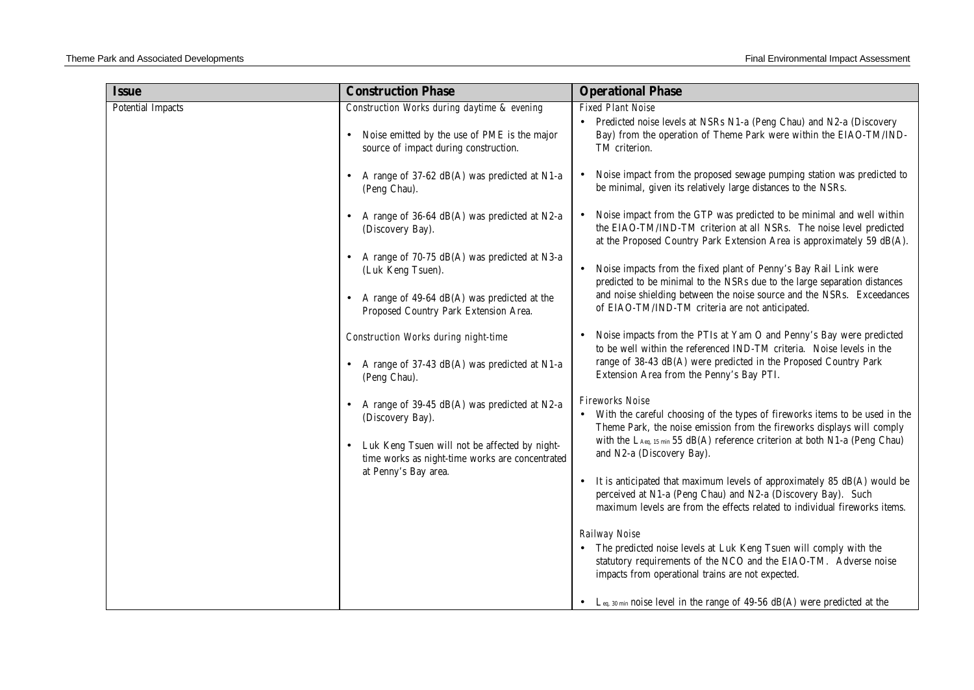| <b>Issue</b>             | <b>Construction Phase</b>                                                                                                                                            | <b>Operational Phase</b>                                                                                                                                                                                                                                                                      |
|--------------------------|----------------------------------------------------------------------------------------------------------------------------------------------------------------------|-----------------------------------------------------------------------------------------------------------------------------------------------------------------------------------------------------------------------------------------------------------------------------------------------|
| <b>Potential Impacts</b> | Construction Works during daytime & evening<br>Noise emitted by the use of PME is the major<br>source of impact during construction.                                 | <b>Fixed Plant Noise</b><br>Predicted noise levels at NSRs N1-a (Peng Chau) and N2-a (Discovery<br>Bay) from the operation of Theme Park were within the EIAO-TM/IND-<br>TM criterion.                                                                                                        |
|                          | A range of 37-62 dB(A) was predicted at N1-a<br>(Peng Chau).                                                                                                         | Noise impact from the proposed sewage pumping station was predicted to<br>be minimal, given its relatively large distances to the NSRs.                                                                                                                                                       |
|                          | A range of 36-64 dB(A) was predicted at N2-a<br>(Discovery Bay).                                                                                                     | Noise impact from the GTP was predicted to be minimal and well within<br>the EIAO-TM/IND-TM criterion at all NSRs. The noise level predicted<br>at the Proposed Country Park Extension Area is approximately 59 dB(A).                                                                        |
|                          | A range of 70-75 dB(A) was predicted at N3-a<br>$\bullet$<br>(Luk Keng Tsuen).                                                                                       | Noise impacts from the fixed plant of Penny's Bay Rail Link were<br>predicted to be minimal to the NSRs due to the large separation distances                                                                                                                                                 |
|                          | A range of 49-64 dB(A) was predicted at the<br>Proposed Country Park Extension Area.                                                                                 | and noise shielding between the noise source and the NSRs. Exceedances<br>of EIAO-TM/IND-TM criteria are not anticipated.                                                                                                                                                                     |
|                          | <b>Construction Works during night-time</b><br>A range of 37-43 dB(A) was predicted at N1-a<br>$\bullet$<br>(Peng Chau).                                             | Noise impacts from the PTIs at Yam O and Penny's Bay were predicted<br>to be well within the referenced IND-TM criteria. Noise levels in the<br>range of 38-43 dB(A) were predicted in the Proposed Country Park<br>Extension Area from the Penny's Bay PTI.                                  |
|                          | A range of 39-45 dB(A) was predicted at N2-a<br>(Discovery Bay).<br>Luk Keng Tsuen will not be affected by night-<br>time works as night-time works are concentrated | <b>Fireworks Noise</b><br>• With the careful choosing of the types of fireworks items to be used in the<br>Theme Park, the noise emission from the fireworks displays will comply<br>with the LAeq, 15 min 55 dB(A) reference criterion at both N1-a (Peng Chau)<br>and N2-a (Discovery Bay). |
|                          | at Penny's Bay area.                                                                                                                                                 | It is anticipated that maximum levels of approximately 85 dB(A) would be<br>perceived at N1-a (Peng Chau) and N2-a (Discovery Bay). Such<br>maximum levels are from the effects related to individual fireworks items.                                                                        |
|                          |                                                                                                                                                                      | Railway Noise<br>• The predicted noise levels at Luk Keng Tsuen will comply with the<br>statutory requirements of the NCO and the EIAO-TM. Adverse noise<br>impacts from operational trains are not expected.                                                                                 |
|                          |                                                                                                                                                                      | • Leq. 30 min noise level in the range of 49-56 dB(A) were predicted at the                                                                                                                                                                                                                   |